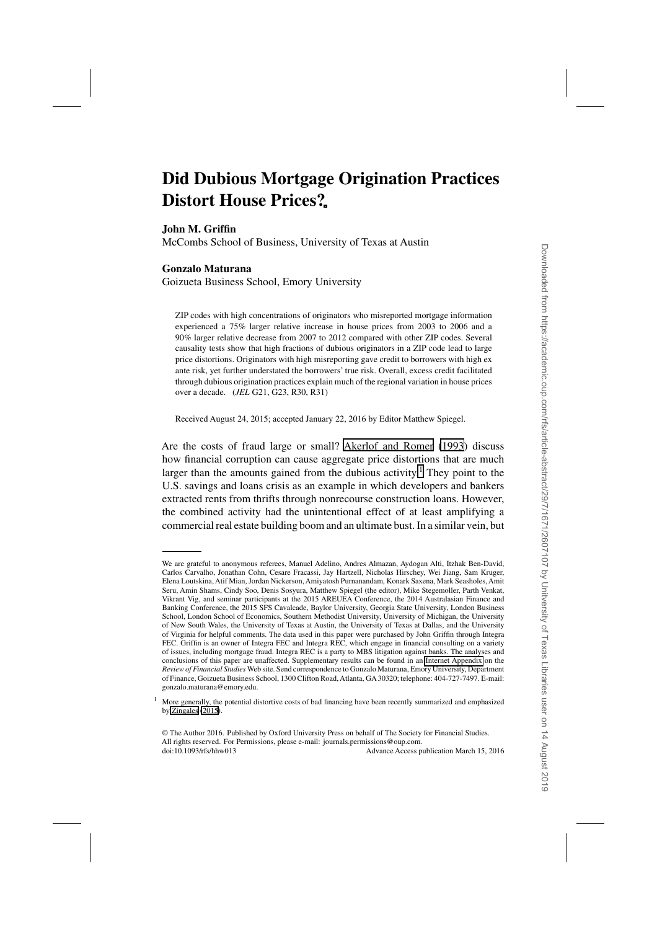# **Did Dubious Mortgage Origination Practices Distort House Prices?**

# **John M. Griffin**

McCombs School of Business, University of Texas at Austin

# **Gonzalo Maturana**

Goizueta Business School, Emory University

ZIP codes with high concentrations of originators who misreported mortgage information experienced a 75% larger relative increase in house prices from 2003 to 2006 and a 90% larger relative decrease from 2007 to 2012 compared with other ZIP codes. Several causality tests show that high fractions of dubious originators in a ZIP code lead to large price distortions. Originators with high misreporting gave credit to borrowers with high ex ante risk, yet further understated the borrowers' true risk. Overall, excess credit facilitated through dubious origination practices explain much of the regional variation in house prices over a decade. (*JEL* G21, G23, R30, R31)

Received August 24, 2015; accepted January 22, 2016 by Editor Matthew Spiegel.

Are the costs of fraud large or small? [Akerlof and Romer](#page-36-0) [\(1993\)](#page-36-0) discuss how financial corruption can cause aggregate price distortions that are much larger than the amounts gained from the dubious activity.<sup>1</sup> They point to the U.S. savings and loans crisis as an example in which developers and bankers extracted rents from thrifts through nonrecourse construction loans. However, the combined activity had the unintentional effect of at least amplifying a commercial real estate building boom and an ultimate bust. In a similar vein, but

We are grateful to anonymous referees, Manuel Adelino, Andres Almazan, Aydogan Alti, Itzhak Ben-David, Carlos Carvalho, Jonathan Cohn, Cesare Fracassi, Jay Hartzell, Nicholas Hirschey, Wei Jiang, Sam Kruger, Elena Loutskina, Atif Mian, Jordan Nickerson, Amiyatosh Purnanandam, Konark Saxena, Mark Seasholes, Amit Seru, Amin Shams, Cindy Soo, Denis Sosyura, Matthew Spiegel (the editor), Mike Stegemoller, Parth Venkat, Vikrant Vig, and seminar participants at the 2015 AREUEA Conference, the 2014 Australasian Finance and Banking Conference, the 2015 SFS Cavalcade, Baylor University, Georgia State University, London Business School, London School of Economics, Southern Methodist University, University of Michigan, the University of New South Wales, the University of Texas at Austin, the University of Texas at Dallas, and the University of Virginia for helpful comments. The data used in this paper were purchased by John Griffin through Integra FEC. Griffin is an owner of Integra FEC and Integra REC, which engage in financial consulting on a variety of issues, including mortgage fraud. Integra REC is a party to MBS litigation against banks. The analyses and conclusions of this paper are unaffected. Supplementary results can be found in an [Internet Appendix](http://rfs.oxfordjournals.org/lookup/suppl/doi:10.1093/rfs/hhw013/-/DC1) on the *Review of Financial Studies* Web site. Send correspondence to Gonzalo Maturana, Emory University, Department of Finance, Goizueta Business School, 1300 Clifton Road, Atlanta, GA 30320; telephone: 404-727-7497. E-mail: gonzalo.maturana@emory.edu.

 $<sup>1</sup>$  More generally, the potential distortive costs of bad financing have been recently summarized and emphasized</sup> by [Zingales \(2015](#page-37-0)).

<sup>©</sup> The Author 2016. Published by Oxford University Press on behalf of The Society for Financial Studies. All rights reserved. For Permissions, please e-mail: journals.permissions@oup.com. doi:10.1093/rfs/hhw013 Advance Access publication March 15, 2016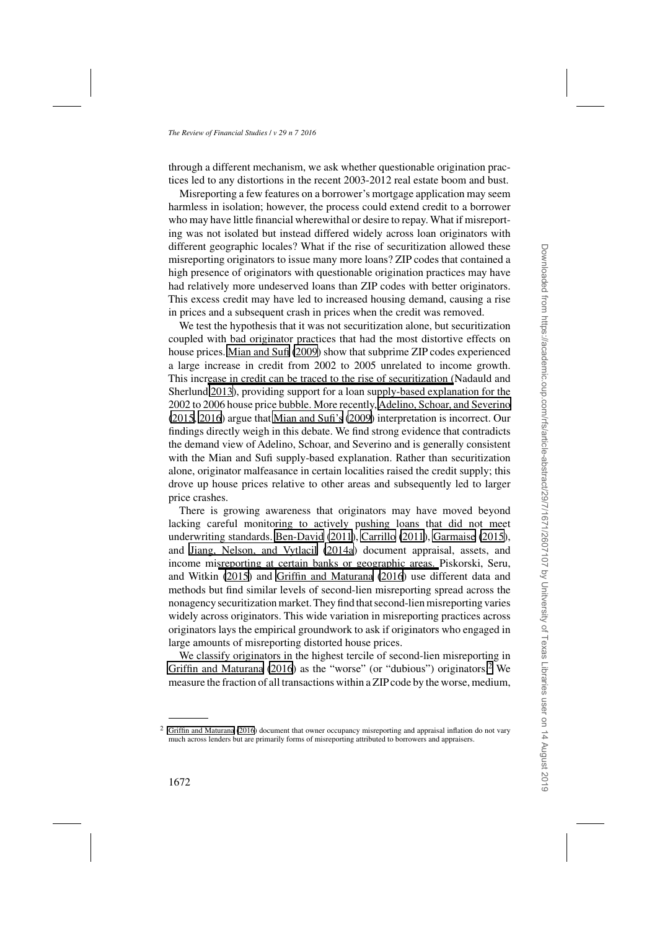through a different mechanism, we ask whether questionable origination practices led to any distortions in the recent 2003-2012 real estate boom and bust.

Misreporting a few features on a borrower's mortgage application may seem harmless in isolation; however, the process could extend credit to a borrower who may have little financial wherewithal or desire to repay. What if misreporting was not isolated but instead differed widely across loan originators with different geographic locales? What if the rise of securitization allowed these misreporting originators to issue many more loans? ZIP codes that contained a high presence of originators with questionable origination practices may have had relatively more undeserved loans than ZIP codes with better originators. This excess credit may have led to increased housing demand, causing a rise in prices and a subsequent crash in prices when the credit was removed.

We test the hypothesis that it was not securitization alone, but securitization coupled with bad originator practices that had the most distortive effects on house prices. [Mian and Sufi](#page-37-0) [\(2009](#page-37-0)) show that subprime ZIP codes experienced a large increase in credit from 2002 to 2005 unrelated to income growth. This incr[ease in credit can be traced to the rise of securitization \(](#page-37-0)Nadauld and Sherlund [2013\)](#page-37-0), providing support for a loan supply-based explanation for the 2002 to 2006 house price bubble. More recently, [Adelino, Schoar, and Severino](#page-35-0) [\(2015,](#page-35-0) [2016](#page-36-0)) argue that [Mian and Sufi's](#page-37-0) [\(2009\)](#page-37-0) interpretation is incorrect. Our findings directly weigh in this debate. We find strong evidence that contradicts the demand view of Adelino, Schoar, and Severino and is generally consistent with the Mian and Sufi supply-based explanation. Rather than securitization alone, originator malfeasance in certain localities raised the credit supply; this drove up house prices relative to other areas and subsequently led to larger price crashes.

There is growing awareness that originators may have moved beyond lacking careful monitoring to actively pushing loans that did not meet underwriting standards. [Ben-David](#page-36-0) [\(2011\)](#page-36-0), [Carrillo](#page-36-0) [\(2011\)](#page-36-0), [Garmaise](#page-36-0) [\(2015](#page-36-0)), and [Jiang, Nelson, and Vytlacil](#page-36-0) [\(2014a](#page-36-0)) document appraisal, assets, and income mi[sreporting at certain banks or geographic areas.](#page-37-0) Piskorski, Seru, and Witkin [\(2015\)](#page-37-0) and [Griffin and Maturana](#page-36-0) [\(2016\)](#page-36-0) use different data and methods but find similar levels of second-lien misreporting spread across the nonagency securitization market. They find that second-lien misreporting varies widely across originators. This wide variation in misreporting practices across originators lays the empirical groundwork to ask if originators who engaged in large amounts of misreporting distorted house prices.

We classify originators in the highest tercile of second-lien misreporting in [Griffin and Maturana](#page-36-0) [\(2016\)](#page-36-0) as the "worse" (or "dubious") originators.<sup>2</sup> We measure the fraction of all transactions within a ZIPcode by the worse, medium,

<sup>2</sup> [Griffin and Maturana \(2016](#page-36-0)) document that owner occupancy misreporting and appraisal inflation do not vary much across lenders but are primarily forms of misreporting attributed to borrowers and appraisers.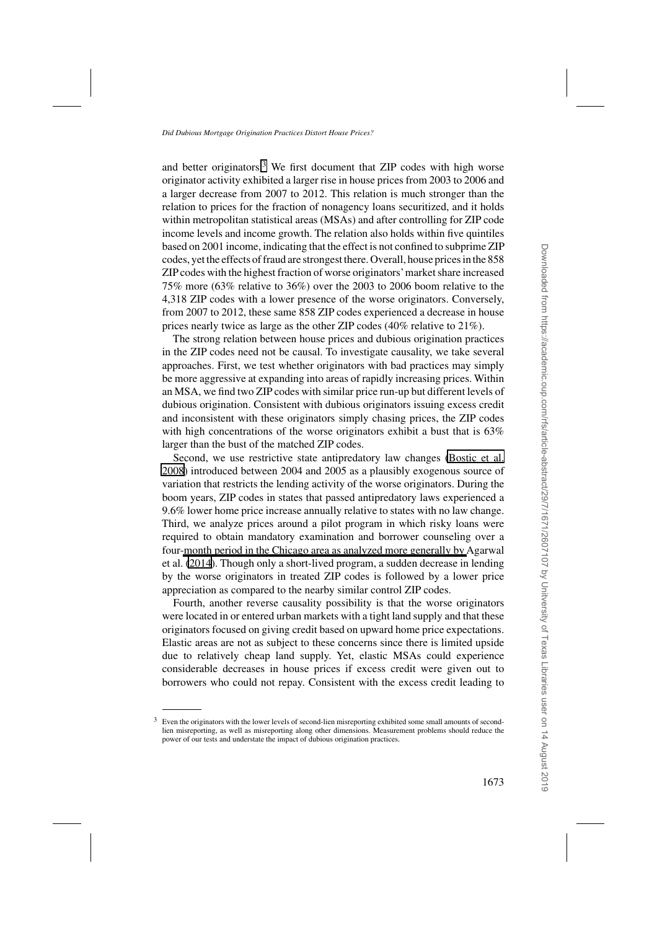and better originators.<sup>3</sup> We first document that ZIP codes with high worse originator activity exhibited a larger rise in house prices from 2003 to 2006 and a larger decrease from 2007 to 2012. This relation is much stronger than the relation to prices for the fraction of nonagency loans securitized, and it holds within metropolitan statistical areas (MSAs) and after controlling for ZIP code income levels and income growth. The relation also holds within five quintiles based on 2001 income, indicating that the effect is not confined to subprime ZIP codes, yet the effects of fraud are strongest there. Overall, house prices in the 858 ZIP codes with the highest fraction of worse originators'market share increased 75% more (63% relative to 36%) over the 2003 to 2006 boom relative to the 4,318 ZIP codes with a lower presence of the worse originators. Conversely, from 2007 to 2012, these same 858 ZIP codes experienced a decrease in house prices nearly twice as large as the other ZIP codes (40% relative to 21%).

The strong relation between house prices and dubious origination practices in the ZIP codes need not be causal. To investigate causality, we take several approaches. First, we test whether originators with bad practices may simply be more aggressive at expanding into areas of rapidly increasing prices. Within an MSA, we find two ZIP codes with similar price run-up but different levels of dubious origination. Consistent with dubious originators issuing excess credit and inconsistent with these originators simply chasing prices, the ZIP codes with high concentrations of the worse originators exhibit a bust that is 63% larger than the bust of the matched ZIP codes.

Second, we use restrictive state antipredatory law changes [\(Bostic et al.](#page-36-0) [2008\)](#page-36-0) introduced between 2004 and 2005 as a plausibly exogenous source of variation that restricts the lending activity of the worse originators. During the boom years, ZIP codes in states that passed antipredatory laws experienced a 9.6% lower home price increase annually relative to states with no law change. Third, we analyze prices around a pilot program in which risky loans were required to obtain mandatory examination and borrower counseling over a four[-month period in the Chicago area as analyzed more generally by](#page-36-0) Agarwal et al. [\(2014](#page-36-0)). Though only a short-lived program, a sudden decrease in lending by the worse originators in treated ZIP codes is followed by a lower price appreciation as compared to the nearby similar control ZIP codes.

Fourth, another reverse causality possibility is that the worse originators were located in or entered urban markets with a tight land supply and that these originators focused on giving credit based on upward home price expectations. Elastic areas are not as subject to these concerns since there is limited upside due to relatively cheap land supply. Yet, elastic MSAs could experience considerable decreases in house prices if excess credit were given out to borrowers who could not repay. Consistent with the excess credit leading to

<sup>&</sup>lt;sup>3</sup> Even the originators with the lower levels of second-lien misreporting exhibited some small amounts of secondlien misreporting, as well as misreporting along other dimensions. Measurement problems should reduce the power of our tests and understate the impact of dubious origination practices.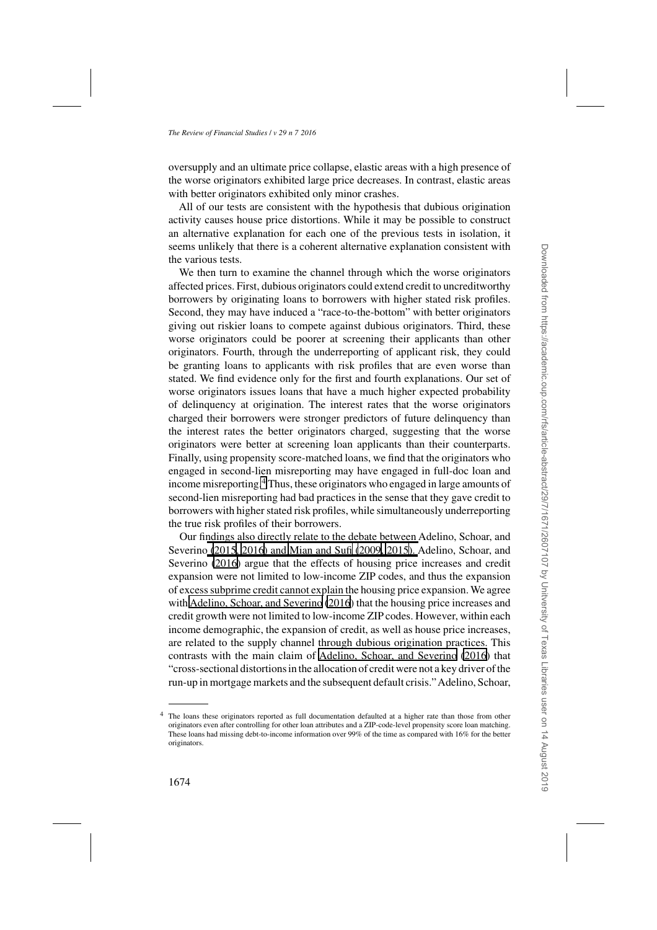oversupply and an ultimate price collapse, elastic areas with a high presence of the worse originators exhibited large price decreases. In contrast, elastic areas with better originators exhibited only minor crashes.

All of our tests are consistent with the hypothesis that dubious origination activity causes house price distortions. While it may be possible to construct an alternative explanation for each one of the previous tests in isolation, it seems unlikely that there is a coherent alternative explanation consistent with the various tests.

We then turn to examine the channel through which the worse originators affected prices. First, dubious originators could extend credit to uncreditworthy borrowers by originating loans to borrowers with higher stated risk profiles. Second, they may have induced a "race-to-the-bottom" with better originators giving out riskier loans to compete against dubious originators. Third, these worse originators could be poorer at screening their applicants than other originators. Fourth, through the underreporting of applicant risk, they could be granting loans to applicants with risk profiles that are even worse than stated. We find evidence only for the first and fourth explanations. Our set of worse originators issues loans that have a much higher expected probability of delinquency at origination. The interest rates that the worse originators charged their borrowers were stronger predictors of future delinquency than the interest rates the better originators charged, suggesting that the worse originators were better at screening loan applicants than their counterparts. Finally, using propensity score-matched loans, we find that the originators who engaged in second-lien misreporting may have engaged in full-doc loan and income misreporting.<sup>4</sup> Thus, these originators who engaged in large amounts of second-lien misreporting had bad practices in the sense that they gave credit to borrowers with higher stated risk profiles, while simultaneously underreporting the true risk profiles of their borrowers.

Our fi[ndings also directly relate to the debate between](#page-35-0) Adelino, Schoar, and Severino[\(2015](#page-35-0)[, 2016\) and](#page-36-0) [Mian and Sufi](#page-37-0)[\(2009](#page-37-0)[,](#page-36-0) [2015](#page-37-0)[\).](#page-36-0) Adelino, Schoar, and Severino [\(2016\)](#page-36-0) argue that the effects of housing price increases and credit expansion were not limited to low-income ZIP codes, and thus the expansion of excess subprime credit cannot explain the housing price expansion. We agree with [Adelino, Schoar, and Severino](#page-36-0) [\(2016](#page-36-0)) that the housing price increases and credit growth were not limited to low-income ZIP codes. However, within each income demographic, the expansion of credit, as well as house price increases, are related to the supply channel through dubious origination practices. This contrasts with the main claim of [Adelino, Schoar, and Severino](#page-36-0) [\(2016](#page-36-0)) that "cross-sectional distortions in the allocation of credit were not a key driver of the run-up in mortgage markets and the subsequent default crisis."Adelino, Schoar,

<sup>4</sup> The loans these originators reported as full documentation defaulted at a higher rate than those from other originators even after controlling for other loan attributes and a ZIP-code-level propensity score loan matching. These loans had missing debt-to-income information over 99% of the time as compared with 16% for the better originators.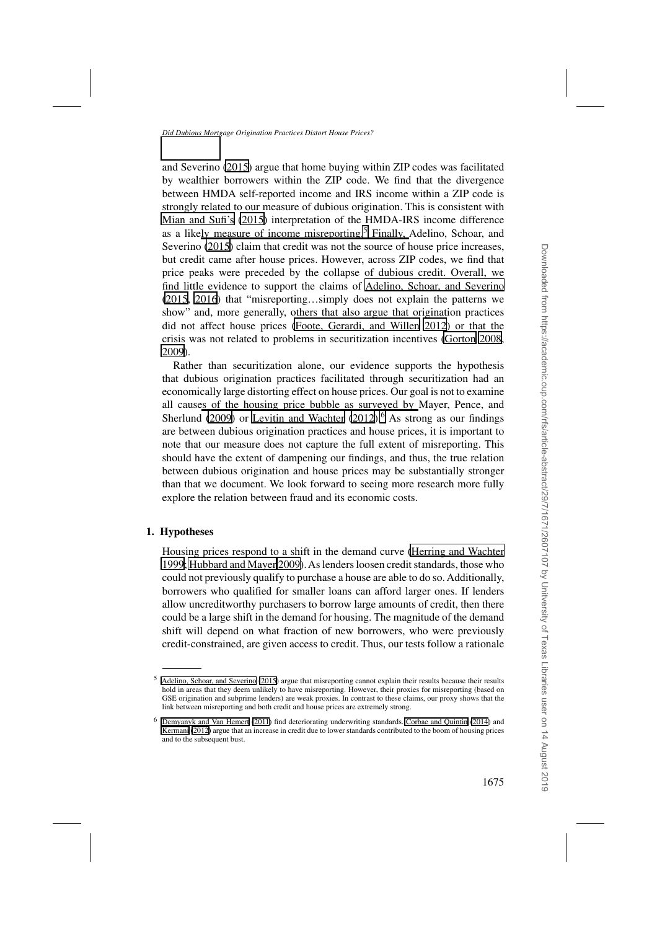and Severino [\(2015\)](#page-35-0) argue that home buying within ZIP codes was facilitated by wealthier borrowers within the ZIP code. We find that the divergence between HMDA self-reported income and IRS income within a ZIP code is strongly related to our measure of dubious origination. This is consistent with [Mian and Sufi's](#page-37-0) [\(2015\)](#page-37-0) interpretation of the HMDA-IRS income difference as a like[ly measure of income misreporting.](#page-35-0)<sup>5</sup> Finally, Adelino, Schoar, and Severino [\(2015\)](#page-35-0) claim that credit was not the source of house price increases, but credit came after house prices. However, across ZIP codes, we find that price peaks were preceded by the collapse of dubious credit. Overall, we find little evidence to support the claims of [Adelino, Schoar, and Severino](#page-35-0) [\(2015,](#page-35-0) [2016](#page-36-0)) that "misreporting…simply does not explain the patterns we show" and, more generally, others that also argue that origination practices did not affect house prices [\(Foote, Gerardi, and Willen 2012](#page-36-0)) or that the crisis was not related to problems in securitization incentives [\(Gorton 2008,](#page-36-0) [2009\)](#page-36-0).

Rather than securitization alone, our evidence supports the hypothesis that dubious origination practices facilitated through securitization had an economically large distorting effect on house prices. Our goal is not to examine all caus[es of the housing price bubble as surveyed by](#page-37-0) Mayer, Pence, and Sherlund [\(2009\)](#page-37-0) or [Levitin and Wachter](#page-36-0) [\(2012\)](#page-36-0).<sup>6</sup> As strong as our findings are between dubious origination practices and house prices, it is important to note that our measure does not capture the full extent of misreporting. This should have the extent of dampening our findings, and thus, the true relation between dubious origination and house prices may be substantially stronger than that we document. We look forward to seeing more research more fully explore the relation between fraud and its economic costs.

# **1. Hypotheses**

Housing prices respond to a shift in the demand curve [\(Herring and Wachter](#page-36-0) [1999; Hubbard and Mayer 2009\)](#page-36-0). As lenders loosen credit standards, those who could not previously qualify to purchase a house are able to do so. Additionally, borrowers who qualified for smaller loans can afford larger ones. If lenders allow uncreditworthy purchasers to borrow large amounts of credit, then there could be a large shift in the demand for housing. The magnitude of the demand shift will depend on what fraction of new borrowers, who were previously credit-constrained, are given access to credit. Thus, our tests follow a rationale

<sup>5</sup> [Adelino, Schoar, and Severino](#page-35-0) [\(2015](#page-35-0)) argue that misreporting cannot explain their results because their results hold in areas that they deem unlikely to have misreporting. However, their proxies for misreporting (based on GSE origination and subprime lenders) are weak proxies. In contrast to these claims, our proxy shows that the link between misreporting and both credit and house prices are extremely strong.

<sup>6</sup> [Demyanyk and Van Hemert](#page-36-0) [\(2011\)](#page-36-0) find deteriorating underwriting standards. [Corbae and Quintin](#page-36-0) [\(2014\)](#page-36-0) and [Kermani](#page-36-0) [\(2012\)](#page-36-0) argue that an increase in credit due to lower standards contributed to the boom of housing prices and to the subsequent bust.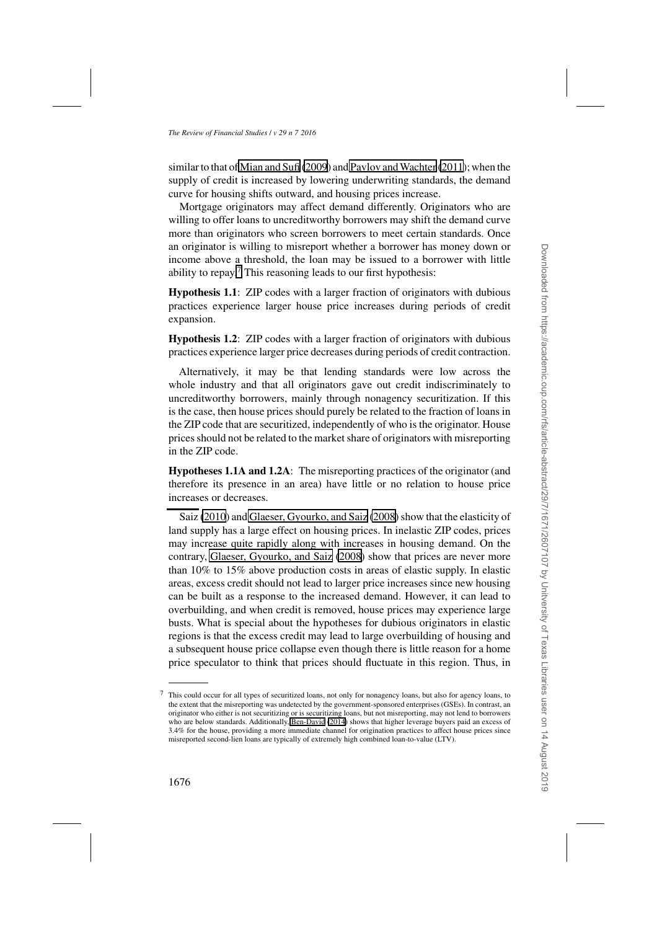similar to that of [Mian and Sufi](#page-37-0) [\(2009](#page-37-0)) and [Pavlov and Wachter](#page-37-0) [\(2011](#page-37-0)); when the supply of credit is increased by lowering underwriting standards, the demand curve for housing shifts outward, and housing prices increase.

Mortgage originators may affect demand differently. Originators who are willing to offer loans to uncreditworthy borrowers may shift the demand curve more than originators who screen borrowers to meet certain standards. Once an originator is willing to misreport whether a borrower has money down or income above a threshold, the loan may be issued to a borrower with little ability to repay.<sup>7</sup> This reasoning leads to our first hypothesis:

**Hypothesis 1.1**: ZIP codes with a larger fraction of originators with dubious practices experience larger house price increases during periods of credit expansion.

**Hypothesis 1.2**: ZIP codes with a larger fraction of originators with dubious practices experience larger price decreases during periods of credit contraction.

Alternatively, it may be that lending standards were low across the whole industry and that all originators gave out credit indiscriminately to uncreditworthy borrowers, mainly through nonagency securitization. If this is the case, then house prices should purely be related to the fraction of loans in the ZIP code that are securitized, independently of who is the originator. House prices should not be related to the market share of originators with misreporting in the ZIP code.

**Hypotheses 1.1A and 1.2A**: The misreporting practices of the originator (and therefore its presence in an area) have little or no relation to house price increases or decreases.

Saiz [\(2010](#page-37-0)) and [Glaeser, Gyourko, and Saiz](#page-36-0) [\(2008\)](#page-36-0) show that the elasticity of land supply has a large effect on housing prices. In inelastic ZIP codes, prices may increase quite rapidly along with increases in housing demand. On the contrary, [Glaeser, Gyourko, and Saiz](#page-36-0) [\(2008](#page-36-0)) show that prices are never more than 10% to 15% above production costs in areas of elastic supply. In elastic areas, excess credit should not lead to larger price increases since new housing can be built as a response to the increased demand. However, it can lead to overbuilding, and when credit is removed, house prices may experience large busts. What is special about the hypotheses for dubious originators in elastic regions is that the excess credit may lead to large overbuilding of housing and a subsequent house price collapse even though there is little reason for a home price speculator to think that prices should fluctuate in this region. Thus, in

<sup>7</sup> This could occur for all types of securitized loans, not only for nonagency loans, but also for agency loans, to the extent that the misreporting was undetected by the government-sponsored enterprises (GSEs). In contrast, an originator who either is not securitizing or is securitizing loans, but not misreporting, may not lend to borrowers who are below standards. Additionally, [Ben-David \(2014](#page-36-0)) shows that higher leverage buyers paid an excess of 3.4% for the house, providing a more immediate channel for origination practices to affect house prices since misreported second-lien loans are typically of extremely high combined loan-to-value (LTV).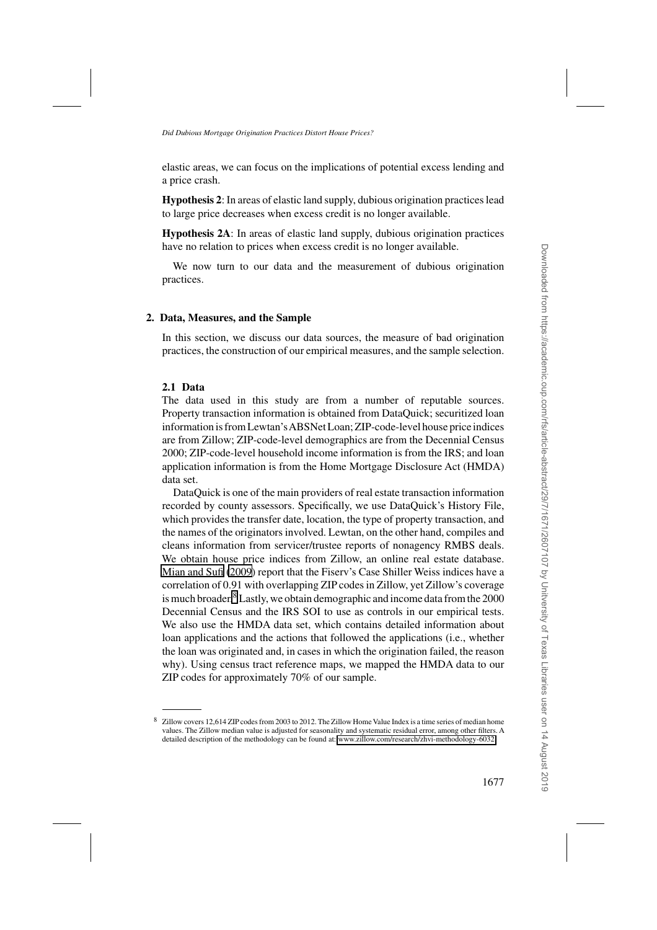elastic areas, we can focus on the implications of potential excess lending and a price crash.

**Hypothesis 2**: In areas of elastic land supply, dubious origination practices lead to large price decreases when excess credit is no longer available.

**Hypothesis 2A**: In areas of elastic land supply, dubious origination practices have no relation to prices when excess credit is no longer available.

We now turn to our data and the measurement of dubious origination practices.

#### **2. Data, Measures, and the Sample**

In this section, we discuss our data sources, the measure of bad origination practices, the construction of our empirical measures, and the sample selection.

### **2.1 Data**

The data used in this study are from a number of reputable sources. Property transaction information is obtained from DataQuick; securitized loan information is from Lewtan'sABSNet Loan; ZIP-code-level house price indices are from Zillow; ZIP-code-level demographics are from the Decennial Census 2000; ZIP-code-level household income information is from the IRS; and loan application information is from the Home Mortgage Disclosure Act (HMDA) data set.

DataQuick is one of the main providers of real estate transaction information recorded by county assessors. Specifically, we use DataQuick's History File, which provides the transfer date, location, the type of property transaction, and the names of the originators involved. Lewtan, on the other hand, compiles and cleans information from servicer/trustee reports of nonagency RMBS deals. We obtain house price indices from Zillow, an online real estate database. [Mian and Sufi](#page-37-0) [\(2009\)](#page-37-0) report that the Fiserv's Case Shiller Weiss indices have a correlation of 0.91 with overlapping ZIP codes in Zillow, yet Zillow's coverage is much broader.<sup>8</sup> Lastly, we obtain demographic and income data from the 2000 Decennial Census and the IRS SOI to use as controls in our empirical tests. We also use the HMDA data set, which contains detailed information about loan applications and the actions that followed the applications (i.e., whether the loan was originated and, in cases in which the origination failed, the reason why). Using census tract reference maps, we mapped the HMDA data to our ZIP codes for approximately 70% of our sample.

<sup>8</sup> Zillow covers 12,614 ZIP codes from 2003 to 2012. The Zillow Home Value Index is a time series of median home values. The Zillow median value is adjusted for seasonality and systematic residual error, among other filters. A detailed description of the methodology can be found at: [www.zillow.com/research/zhvi-methodology-6032.](http://www.zillow.com/research/zhvi-methodology-6032)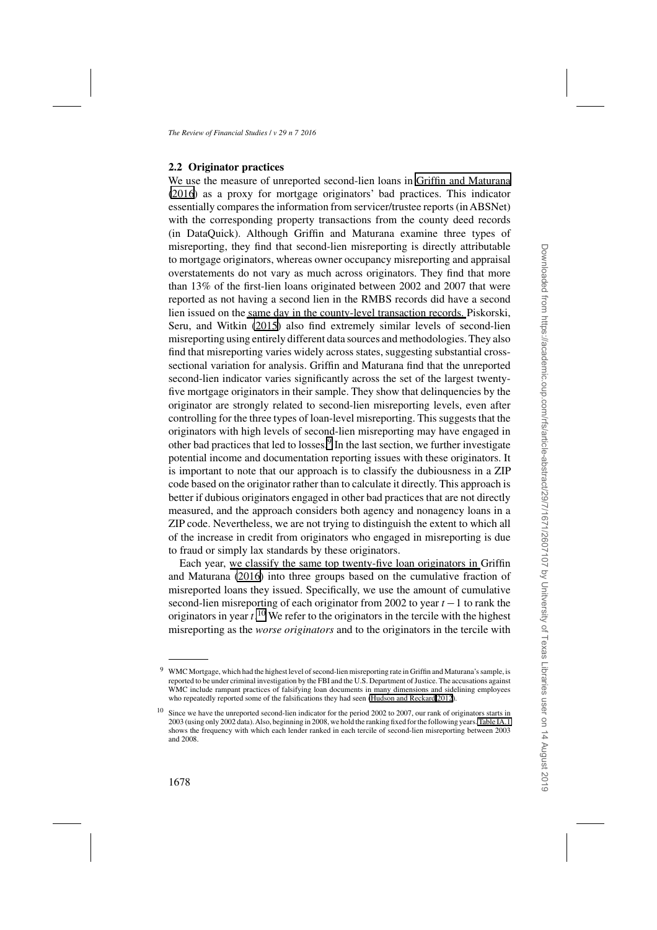### **2.2 Originator practices**

We use the measure of unreported second-lien loans in [Griffin and Maturana](#page-36-0) [\(2016\)](#page-36-0) as a proxy for mortgage originators' bad practices. This indicator essentially compares the information from servicer/trustee reports (in ABSNet) with the corresponding property transactions from the county deed records (in DataQuick). Although Griffin and Maturana examine three types of misreporting, they find that second-lien misreporting is directly attributable to mortgage originators, whereas owner occupancy misreporting and appraisal overstatements do not vary as much across originators. They find that more than 13% of the first-lien loans originated between 2002 and 2007 that were reported as not having a second lien in the RMBS records did have a second lien issued on the [same day in the county-level transaction records.](#page-37-0) Piskorski, Seru, and Witkin [\(2015](#page-37-0)) also find extremely similar levels of second-lien misreporting using entirely different data sources and methodologies. They also find that misreporting varies widely across states, suggesting substantial crosssectional variation for analysis. Griffin and Maturana find that the unreported second-lien indicator varies significantly across the set of the largest twentyfive mortgage originators in their sample. They show that delinquencies by the originator are strongly related to second-lien misreporting levels, even after controlling for the three types of loan-level misreporting. This suggests that the originators with high levels of second-lien misreporting may have engaged in other bad practices that led to losses.<sup>9</sup> In the last section, we further investigate potential income and documentation reporting issues with these originators. It is important to note that our approach is to classify the dubiousness in a ZIP code based on the originator rather than to calculate it directly. This approach is better if dubious originators engaged in other bad practices that are not directly measured, and the approach considers both agency and nonagency loans in a ZIP code. Nevertheless, we are not trying to distinguish the extent to which all of the increase in credit from originators who engaged in misreporting is due to fraud or simply lax standards by these originators.

Each year, [we classify the same top twenty-five loan originators in](#page-36-0) Griffin and Maturana [\(2016](#page-36-0)) into three groups based on the cumulative fraction of misreported loans they issued. Specifically, we use the amount of cumulative second-lien misreporting of each originator from 2002 to year  $t - 1$  to rank the originators in year  $t$ .<sup>10</sup> We refer to the originators in the tercile with the highest misreporting as the *worse originators* and to the originators in the tercile with

<sup>9</sup> WMC Mortgage, which had the highest level of second-lien misreporting rate in Griffin and Maturana's sample, is reported to be under criminal investigation by the FBI and the U.S. Department of Justice. The accusations against WMC include rampant practices of falsifying loan documents in many dimensions and sidelining employees who repeatedly reported some of the falsifications they had seen [\(Hudson and Reckard 2012\)](#page-36-0).

<sup>&</sup>lt;sup>10</sup> Since we have the unreported second-lien indicator for the period 2002 to 2007, our rank of originators starts in 2003 (using only 2002 data).Also, beginning in 2008, we hold the ranking fixed for the following years[. Table IA.1](http://rfs.oxfordjournals.org/lookup/suppl/doi:10.1093/rfs/hhw013/-/DC1) shows the frequency with which each lender ranked in each tercile of second-lien misreporting between 2003 and 2008.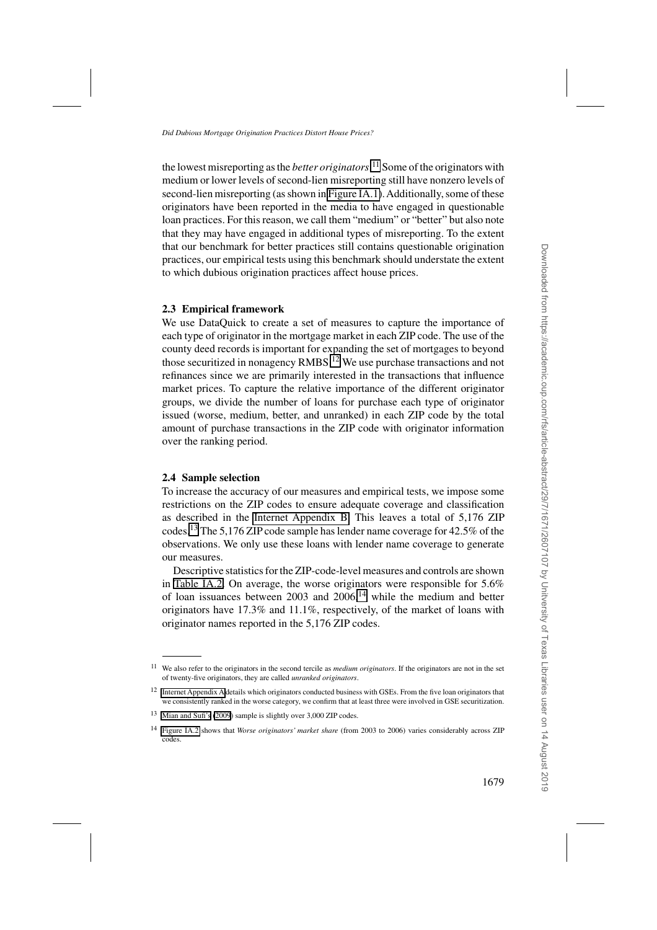the lowest misreporting as the *better originators*. <sup>11</sup> Some of the originators with medium or lower levels of second-lien misreporting still have nonzero levels of second-lien misreporting (as shown in [Figure IA.1\)](http://rfs.oxfordjournals.org/lookup/suppl/doi:10.1093/rfs/hhw013/-/DC1). Additionally, some of these originators have been reported in the media to have engaged in questionable loan practices. For this reason, we call them "medium" or "better" but also note that they may have engaged in additional types of misreporting. To the extent that our benchmark for better practices still contains questionable origination practices, our empirical tests using this benchmark should understate the extent to which dubious origination practices affect house prices.

# **2.3 Empirical framework**

We use DataQuick to create a set of measures to capture the importance of each type of originator in the mortgage market in each ZIP code. The use of the county deed records is important for expanding the set of mortgages to beyond those securitized in nonagency RMBS.<sup>12</sup> We use purchase transactions and not refinances since we are primarily interested in the transactions that influence market prices. To capture the relative importance of the different originator groups, we divide the number of loans for purchase each type of originator issued (worse, medium, better, and unranked) in each ZIP code by the total amount of purchase transactions in the ZIP code with originator information over the ranking period.

# **2.4 Sample selection**

To increase the accuracy of our measures and empirical tests, we impose some restrictions on the ZIP codes to ensure adequate coverage and classification as described in the [Internet Appendix B.](http://rfs.oxfordjournals.org/lookup/suppl/doi:10.1093/rfs/hhw013/-/DC1) This leaves a total of 5,176 ZIP codes.13 The 5,176 ZIP code sample has lender name coverage for 42.5% of the observations. We only use these loans with lender name coverage to generate our measures.

Descriptive statistics for the ZIP-code-level measures and controls are shown in [Table IA.2.](http://rfs.oxfordjournals.org/lookup/suppl/doi:10.1093/rfs/hhw013/-/DC1) On average, the worse originators were responsible for 5.6% of loan issuances between 2003 and  $2006$ ,<sup>14</sup> while the medium and better originators have 17.3% and 11.1%, respectively, of the market of loans with originator names reported in the 5,176 ZIP codes.

<sup>11</sup> We also refer to the originators in the second tercile as *medium originators*. If the originators are not in the set of twenty-five originators, they are called *unranked originators*.

<sup>&</sup>lt;sup>12</sup> [Internet Appendix A](http://rfs.oxfordjournals.org/lookup/suppl/doi:10.1093/rfs/hhw013/-/DC1) details which originators conducted business with GSEs. From the five loan originators that we consistently ranked in the worse category, we confirm that at least three were involved in GSE securitization.

<sup>13</sup> [Mian and Sufi's](#page-37-0) [\(2009\)](#page-37-0) sample is slightly over 3,000 ZIP codes.

<sup>14</sup> [Figure IA.2](http://rfs.oxfordjournals.org/lookup/suppl/doi:10.1093/rfs/hhw013/-/DC1) shows that *Worse originators' market share* (from 2003 to 2006) varies considerably across ZIP codes.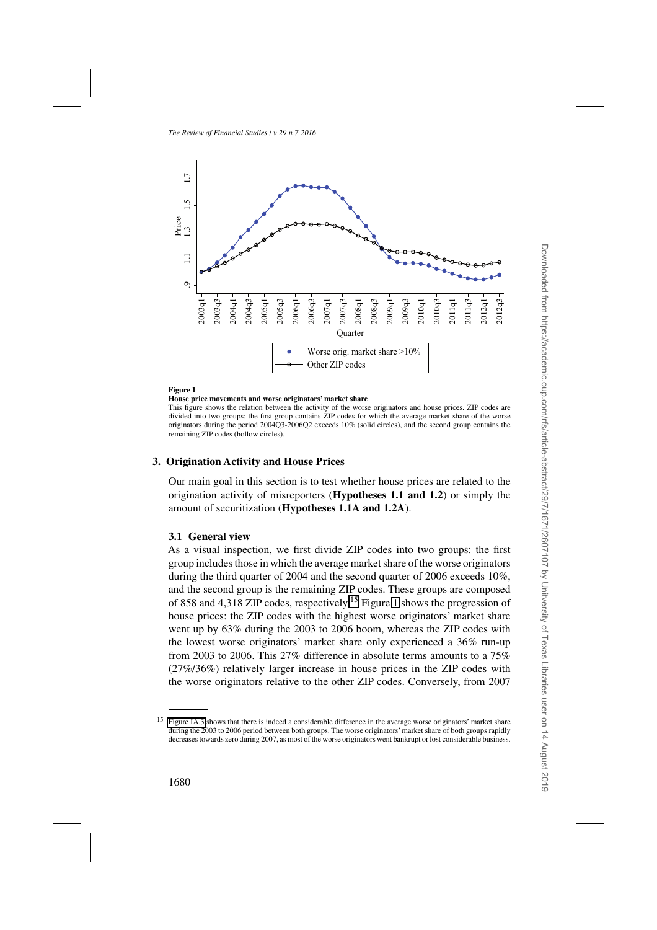

#### **Figure 1**

**House price movements and worse originators' market share**

This figure shows the relation between the activity of the worse originators and house prices. ZIP codes are divided into two groups: the first group contains ZIP codes for which the average market share of the worse originators during the period 2004Q3-2006Q2 exceeds 10% (solid circles), and the second group contains the remaining ZIP codes (hollow circles).

### **3. Origination Activity and House Prices**

Our main goal in this section is to test whether house prices are related to the origination activity of misreporters (**Hypotheses 1.1 and 1.2**) or simply the amount of securitization (**Hypotheses 1.1A and 1.2A**).

### **3.1 General view**

As a visual inspection, we first divide ZIP codes into two groups: the first group includes those in which the average market share of the worse originators during the third quarter of 2004 and the second quarter of 2006 exceeds 10%, and the second group is the remaining ZIP codes. These groups are composed of 858 and 4,318 ZIP codes, respectively.<sup>15</sup> Figure 1 shows the progression of house prices: the ZIP codes with the highest worse originators' market share went up by 63% during the 2003 to 2006 boom, whereas the ZIP codes with the lowest worse originators' market share only experienced a 36% run-up from 2003 to 2006. This 27% difference in absolute terms amounts to a 75% (27%/36%) relatively larger increase in house prices in the ZIP codes with the worse originators relative to the other ZIP codes. Conversely, from 2007

<sup>&</sup>lt;sup>15</sup> [Figure IA.3](http://rfs.oxfordjournals.org/lookup/suppl/doi:10.1093/rfs/hhw013/-/DC1) shows that there is indeed a considerable difference in the average worse originators' market share during the 2003 to 2006 period between both groups. The worse originators' market share of both groups rapidly decreases towards zero during 2007, as most of the worse originators went bankrupt or lost considerable business.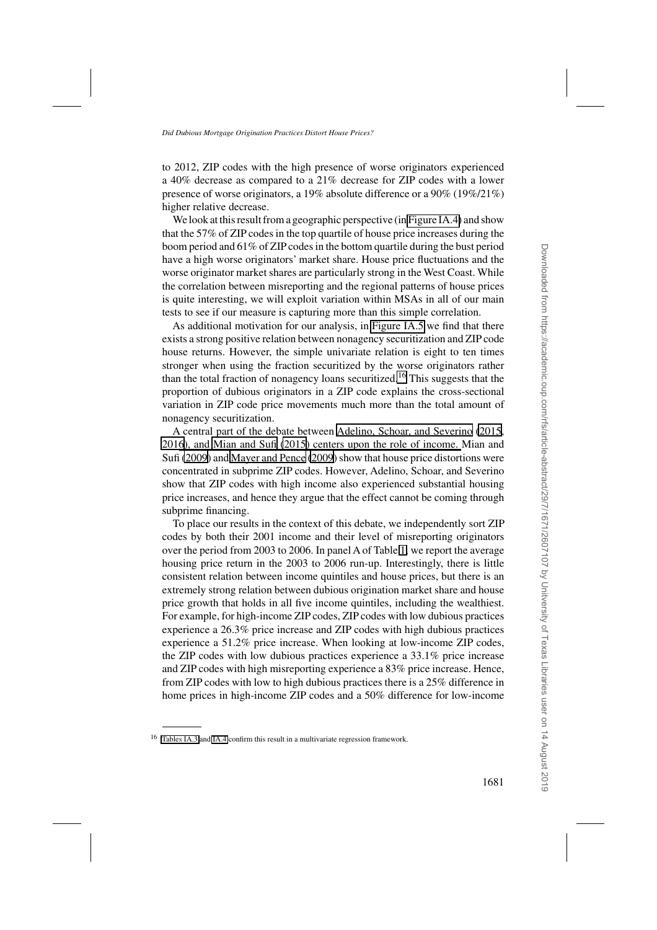to 2012, ZIP codes with the high presence of worse originators experienced a 40% decrease as compared to a 21% decrease for ZIP codes with a lower presence of worse originators, a 19% absolute difference or a 90% (19%/21%) higher relative decrease.

We look at this result from a geographic perspective (i[n Figure IA.4\)](http://rfs.oxfordjournals.org/lookup/suppl/doi:10.1093/rfs/hhw013/-/DC1) and show that the 57% of ZIP codes in the top quartile of house price increases during the boom period and 61% of ZIP codes in the bottom quartile during the bust period have a high worse originators' market share. House price fluctuations and the worse originator market shares are particularly strong in the West Coast. While the correlation between misreporting and the regional patterns of house prices is quite interesting, we will exploit variation within MSAs in all of our main tests to see if our measure is capturing more than this simple correlation.

As additional motivation for our analysis, in [Figure IA.5](http://rfs.oxfordjournals.org/lookup/suppl/doi:10.1093/rfs/hhw013/-/DC1) we find that there exists a strong positive relation between nonagency securitization and ZIP code house returns. However, the simple univariate relation is eight to ten times stronger when using the fraction securitized by the worse originators rather than the total fraction of nonagency loans securitized.<sup>16</sup> This suggests that the proportion of dubious originators in a ZIP code explains the cross-sectional variation in ZIP code price movements much more than the total amount of nonagency securitization.

A central part of the debate between [Adelino, Schoar, and Severino](#page-35-0) [\(2015,](#page-35-0) [2016\)](#page-36-0)[,](#page-37-0) [and Mian and Sufi](#page-37-0) [\(2015\)](#page-37-0) [centers](#page-37-0) [upon](#page-37-0) [the](#page-37-0) [role](#page-37-0) [of](#page-37-0) [income.](#page-37-0) Mian and Sufi [\(2009\)](#page-37-0) and [Mayer and Pence](#page-37-0) [\(2009\)](#page-37-0) show that house price distortions were concentrated in subprime ZIP codes. However, Adelino, Schoar, and Severino show that ZIP codes with high income also experienced substantial housing price increases, and hence they argue that the effect cannot be coming through subprime financing.

To place our results in the context of this debate, we independently sort ZIP codes by both their 2001 income and their level of misreporting originators over the period from 2003 to 2006. In panel A of Table [1,](#page-11-0) we report the average housing price return in the 2003 to 2006 run-up. Interestingly, there is little consistent relation between income quintiles and house prices, but there is an extremely strong relation between dubious origination market share and house price growth that holds in all five income quintiles, including the wealthiest. For example, for high-income ZIP codes, ZIP codes with low dubious practices experience a 26.3% price increase and ZIP codes with high dubious practices experience a 51.2% price increase. When looking at low-income ZIP codes, the ZIP codes with low dubious practices experience a 33.1% price increase and ZIP codes with high misreporting experience a 83% price increase. Hence, from ZIP codes with low to high dubious practices there is a 25% difference in home prices in high-income ZIP codes and a 50% difference for low-income

<sup>16</sup> [Tables IA.3](http://rfs.oxfordjournals.org/lookup/suppl/doi:10.1093/rfs/hhw013/-/DC1) and [IA.4](http://rfs.oxfordjournals.org/lookup/suppl/doi:10.1093/rfs/hhw013/-/DC1) confirm this result in a multivariate regression framework.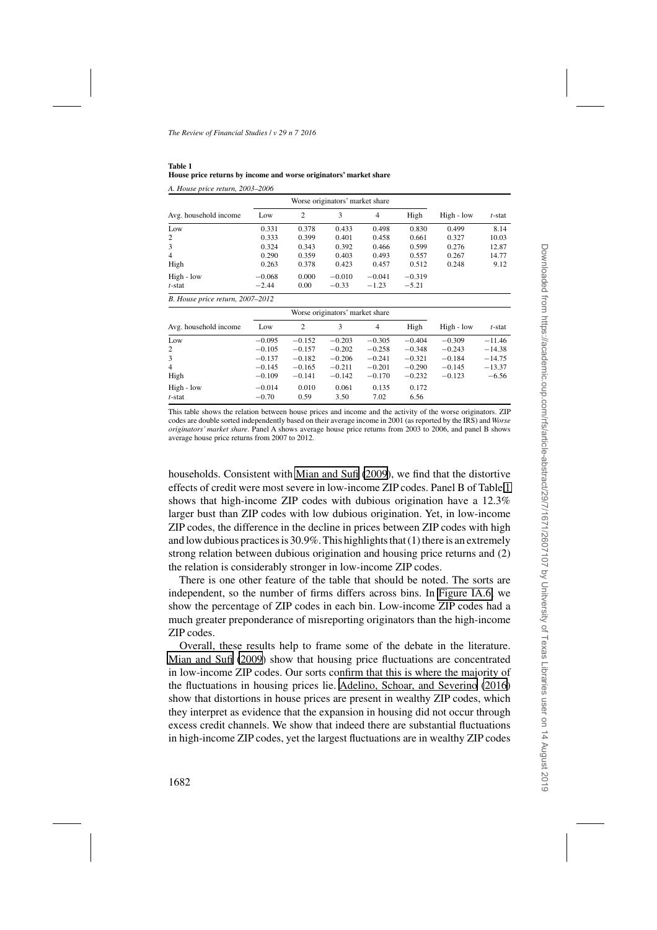*A. House price return, 2003–2006*

<span id="page-11-0"></span>

| Table 1                                                           |  |
|-------------------------------------------------------------------|--|
| House price returns by income and worse originators' market share |  |

|                                  |          | Worse originators' market share |          |          |          |            |           |
|----------------------------------|----------|---------------------------------|----------|----------|----------|------------|-----------|
| Avg. household income            | Low      | $\overline{c}$                  | 3        | 4        | High     | High - low | $t$ -stat |
| Low                              | 0.331    | 0.378                           | 0.433    | 0.498    | 0.830    | 0.499      | 8.14      |
| 2                                | 0.333    | 0.399                           | 0.401    | 0.458    | 0.661    | 0.327      | 10.03     |
| 3                                | 0.324    | 0.343                           | 0.392    | 0.466    | 0.599    | 0.276      | 12.87     |
| $\overline{4}$                   | 0.290    | 0.359                           | 0.403    | 0.493    | 0.557    | 0.267      | 14.77     |
| High                             | 0.263    | 0.378                           | 0.423    | 0.457    | 0.512    | 0.248      | 9.12      |
| High - low                       | $-0.068$ | 0.000                           | $-0.010$ | $-0.041$ | $-0.319$ |            |           |
| $t$ -stat                        | $-2.44$  | 0.00                            | $-0.33$  | $-1.23$  | $-5.21$  |            |           |
| B. House price return, 2007-2012 |          |                                 |          |          |          |            |           |

|                       |          | Worse originators' market share |          |                |          |            |           |  |
|-----------------------|----------|---------------------------------|----------|----------------|----------|------------|-----------|--|
| Avg. household income | Low      | 2                               | 3        | $\overline{4}$ | High     | High - low | $t$ -stat |  |
| Low                   | $-0.095$ | $-0.152$                        | $-0.203$ | $-0.305$       | $-0.404$ | $-0.309$   | $-11.46$  |  |
| $\overline{2}$        | $-0.105$ | $-0.157$                        | $-0.202$ | $-0.258$       | $-0.348$ | $-0.243$   | $-14.38$  |  |
| 3                     | $-0.137$ | $-0.182$                        | $-0.206$ | $-0.241$       | $-0.321$ | $-0.184$   | $-14.75$  |  |
| $\overline{4}$        | $-0.145$ | $-0.165$                        | $-0.211$ | $-0.201$       | $-0.290$ | $-0.145$   | $-13.37$  |  |
| High                  | $-0.109$ | $-0.141$                        | $-0.142$ | $-0.170$       | $-0.232$ | $-0.123$   | $-6.56$   |  |
| High - low            | $-0.014$ | 0.010                           | 0.061    | 0.135          | 0.172    |            |           |  |
| $t$ -stat             | $-0.70$  | 0.59                            | 3.50     | 7.02           | 6.56     |            |           |  |

This table shows the relation between house prices and income and the activity of the worse originators. ZIP codes are double sorted independently based on their average income in 2001 (as reported by the IRS) and *Worse originators' market share*. Panel A shows average house price returns from 2003 to 2006, and panel B shows average house price returns from 2007 to 2012.

households. Consistent with [Mian and Sufi](#page-37-0) [\(2009\)](#page-37-0), we find that the distortive effects of credit were most severe in low-income ZIP codes. Panel B of Table 1 shows that high-income ZIP codes with dubious origination have a 12.3% larger bust than ZIP codes with low dubious origination. Yet, in low-income ZIP codes, the difference in the decline in prices between ZIP codes with high and low dubious practices is 30.9%. This highlights that (1) there is an extremely strong relation between dubious origination and housing price returns and (2) the relation is considerably stronger in low-income ZIP codes.

There is one other feature of the table that should be noted. The sorts are independent, so the number of firms differs across bins. In [Figure IA.6,](http://rfs.oxfordjournals.org/lookup/suppl/doi:10.1093/rfs/hhw013/-/DC1) we show the percentage of ZIP codes in each bin. Low-income ZIP codes had a much greater preponderance of misreporting originators than the high-income ZIP codes.

Overall, these results help to frame some of the debate in the literature. [Mian and Sufi](#page-37-0) [\(2009\)](#page-37-0) show that housing price fluctuations are concentrated in low-income ZIP codes. Our sorts confirm that this is where the majority of the fluctuations in housing prices lie. [Adelino, Schoar, and Severino](#page-36-0) [\(2016\)](#page-36-0) show that distortions in house prices are present in wealthy ZIP codes, which they interpret as evidence that the expansion in housing did not occur through excess credit channels. We show that indeed there are substantial fluctuations in high-income ZIP codes, yet the largest fluctuations are in wealthy ZIP codes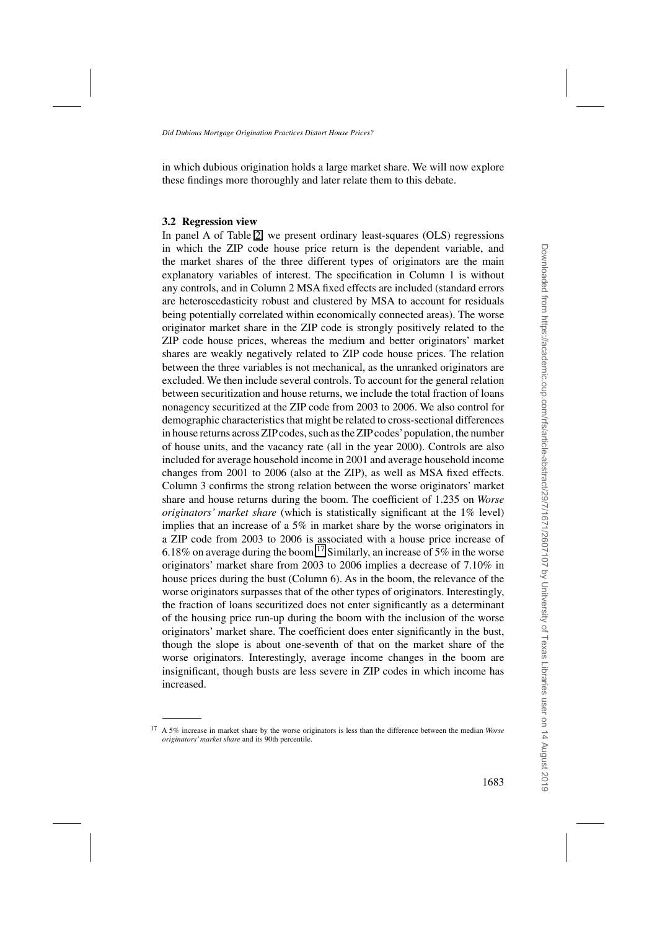in which dubious origination holds a large market share. We will now explore these findings more thoroughly and later relate them to this debate.

### **3.2 Regression view**

In panel A of Table [2,](#page-13-0) we present ordinary least-squares (OLS) regressions in which the ZIP code house price return is the dependent variable, and the market shares of the three different types of originators are the main explanatory variables of interest. The specification in Column 1 is without any controls, and in Column 2 MSA fixed effects are included (standard errors are heteroscedasticity robust and clustered by MSA to account for residuals being potentially correlated within economically connected areas). The worse originator market share in the ZIP code is strongly positively related to the ZIP code house prices, whereas the medium and better originators' market shares are weakly negatively related to ZIP code house prices. The relation between the three variables is not mechanical, as the unranked originators are excluded. We then include several controls. To account for the general relation between securitization and house returns, we include the total fraction of loans nonagency securitized at the ZIP code from 2003 to 2006. We also control for demographic characteristics that might be related to cross-sectional differences in house returns across ZIP codes, such as the ZIP codes' population, the number of house units, and the vacancy rate (all in the year 2000). Controls are also included for average household income in 2001 and average household income changes from 2001 to 2006 (also at the ZIP), as well as MSA fixed effects. Column 3 confirms the strong relation between the worse originators' market share and house returns during the boom. The coefficient of 1.235 on *Worse originators' market share* (which is statistically significant at the 1% level) implies that an increase of a 5% in market share by the worse originators in a ZIP code from 2003 to 2006 is associated with a house price increase of 6.18% on average during the boom.<sup>17</sup> Similarly, an increase of 5% in the worse originators' market share from 2003 to 2006 implies a decrease of 7.10% in house prices during the bust (Column 6). As in the boom, the relevance of the worse originators surpasses that of the other types of originators. Interestingly, the fraction of loans securitized does not enter significantly as a determinant of the housing price run-up during the boom with the inclusion of the worse originators' market share. The coefficient does enter significantly in the bust, though the slope is about one-seventh of that on the market share of the worse originators. Interestingly, average income changes in the boom are insignificant, though busts are less severe in ZIP codes in which income has increased.

<sup>17</sup> A 5% increase in market share by the worse originators is less than the difference between the median *Worse originators' market share* and its 90th percentile.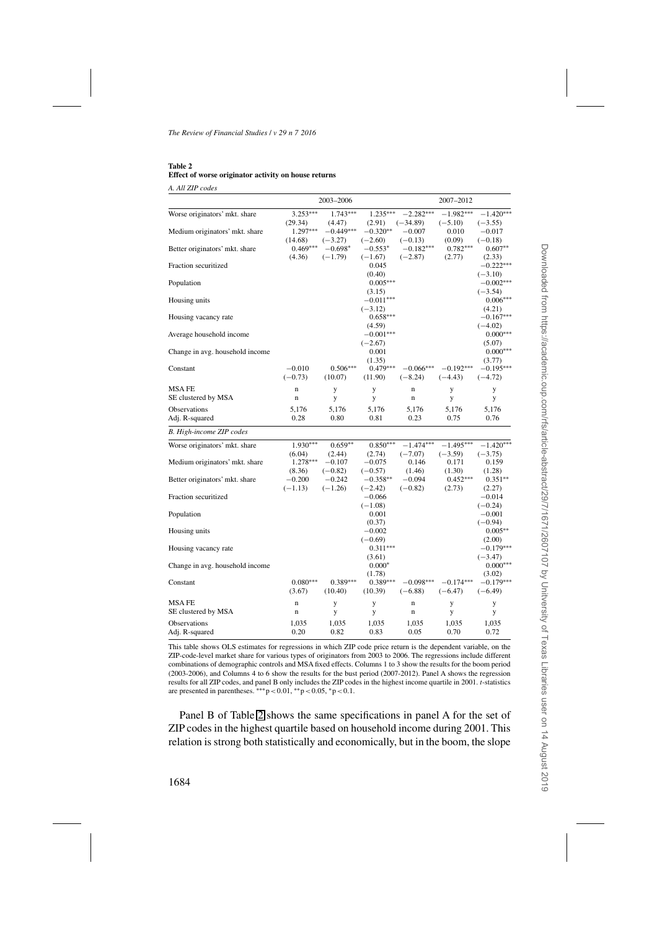### <span id="page-13-0"></span>**Table 2 Effect of worse originator activity on house returns**

| A. All ZIP codes                |                                |                                    |                                   |                                     |                              |                                    |
|---------------------------------|--------------------------------|------------------------------------|-----------------------------------|-------------------------------------|------------------------------|------------------------------------|
|                                 |                                | 2003-2006                          |                                   |                                     | 2007-2012                    |                                    |
| Worse originators' mkt. share   | 3.253***                       | $1.743***$                         | $1.235***$                        | $-2.282***$                         | $-1.982***$                  | $-1.420***$                        |
| Medium originators' mkt. share  | (29.34)<br>1.297***<br>(14.68) | (4.47)<br>$-0.449***$<br>$(-3.27)$ | (2.91)<br>$-0.320**$<br>$(-2.60)$ | $(-34.89)$<br>$-0.007$<br>$(-0.13)$ | $(-5.10)$<br>0.010<br>(0.09) | $(-3.55)$<br>$-0.017$<br>$(-0.18)$ |
| Better originators' mkt. share  | $0.469***$<br>(4.36)           | $-0.698*$<br>$(-1.79)$             | $-0.553*$<br>$(-1.67)$            | $-0.182***$<br>$(-2.87)$            | $0.782***$<br>(2.77)         | $0.607**$<br>(2.33)                |
| Fraction securitized            |                                |                                    | 0.045<br>(0.40)                   |                                     |                              | $-0.222***$<br>$(-3.10)$           |
| Population                      |                                |                                    | $0.005***$<br>(3.15)              |                                     |                              | $-0.002***$<br>$(-3.54)$           |
| Housing units                   |                                |                                    | $-0.011***$<br>$(-3.12)$          |                                     |                              | $0.006***$<br>(4.21)               |
| Housing vacancy rate            |                                |                                    | $0.658***$<br>(4.59)              |                                     |                              | $-0.167***$<br>$(-4.02)$           |
| Average household income        |                                |                                    | $-0.001***$<br>$(-2.67)$          |                                     |                              | $0.000***$<br>(5.07)               |
| Change in avg. household income |                                |                                    | 0.001<br>(1.35)                   |                                     |                              | $0.000***$<br>(3.77)               |
| Constant                        | $-0.010$<br>$(-0.73)$          | $0.506***$<br>(10.07)              | $0.479***$<br>(11.90)             | $-0.066***$<br>$(-8.24)$            | $-0.192***$<br>$(-4.43)$     | $-0.195***$<br>$(-4.72)$           |
| MSA FE<br>SE clustered by MSA   | $\bf n$<br>n                   | y<br>y                             | y<br>y                            | $\mathbf n$<br>$\bf n$              | y<br>y                       | у<br>y                             |
| Observations<br>Adj. R-squared  | 5,176<br>0.28                  | 5,176<br>0.80                      | 5,176<br>0.81                     | 5,176<br>0.23                       | 5,176<br>0.75                | 5,176<br>0.76                      |
| B. High-income ZIP codes        |                                |                                    |                                   |                                     |                              |                                    |
| Worse originators' mkt. share   | 1.930***<br>(6.04)             | $0.659**$<br>(2.44)                | $0.850***$<br>(2.74)              | $-1.474***$<br>$(-7.07)$            | $-1.495***$<br>$(-3.59)$     | $-1.420***$<br>$(-3.75)$           |
| Medium originators' mkt. share  | $1.278***$<br>(8.36)           | $-0.107$<br>$(-0.82)$              | $-0.075$<br>$(-0.57)$             | 0.146<br>(1.46)                     | 0.171<br>(1.30)              | 0.159<br>(1.28)                    |
| Better originators' mkt. share  | $-0.200$<br>$(-1.13)$          | $-0.242$<br>$(-1.26)$              | $-0.358**$<br>$(-2.42)$           | $-0.094$<br>$(-0.82)$               | $0.452***$<br>(2.73)         | $0.351**$<br>(2.27)                |
| Fraction securitized            |                                |                                    | $-0.066$<br>$(-1.08)$             |                                     |                              | $-0.014$<br>$(-0.24)$              |
| Population                      |                                |                                    | 0.001<br>(0.37)                   |                                     |                              | $-0.001$<br>$(-0.94)$              |
| Housing units                   |                                |                                    | $-0.002$<br>$(-0.69)$             |                                     |                              | $0.005**$<br>(2.00)                |
| Housing vacancy rate            |                                |                                    | $0.311***$<br>(3.61)              |                                     |                              | $-0.179***$<br>$(-3.47)$           |
| Change in avg. household income |                                |                                    | $0.000*$<br>(1.78)                |                                     |                              | $0.000***$<br>(3.02)               |
| Constant                        | $0.080***$<br>(3.67)           | $0.389***$<br>(10.40)              | $0.389***$<br>(10.39)             | $-0.098***$<br>$(-6.88)$            | $-0.174***$<br>$(-6.47)$     | $-0.179***$<br>$(-6.49)$           |
| MSA FE<br>SE clustered by MSA   | n<br>n                         | y<br>y                             | y<br>y                            | n<br>$\bf n$                        | y<br>y                       | y<br>У                             |
| Observations<br>Adj. R-squared  | 1,035<br>0.20                  | 1,035<br>0.82                      | 1,035<br>0.83                     | 1,035<br>0.05                       | 1,035<br>0.70                | 1,035<br>0.72                      |

This table shows OLS estimates for regressions in which ZIP code price return is the dependent variable, on the ZIP-code-level market share for various types of originators from 2003 to 2006. The regressions include different combinations of demographic controls and MSA fixed effects. Columns 1 to 3 show the results for the boom period (2003-2006), and Columns 4 to 6 show the results for the bust period (2007-2012). Panel A shows the regression results for all ZIP codes, and panel B only includes the ZIP codes in the highest income quartile in 2001. *t*-statistics are presented in parentheses. \*\*\*p < 0.01, \*\*p < 0.05, \*p < 0.1.

Panel B of Table 2 shows the same specifications in panel A for the set of ZIP codes in the highest quartile based on household income during 2001. This relation is strong both statistically and economically, but in the boom, the slope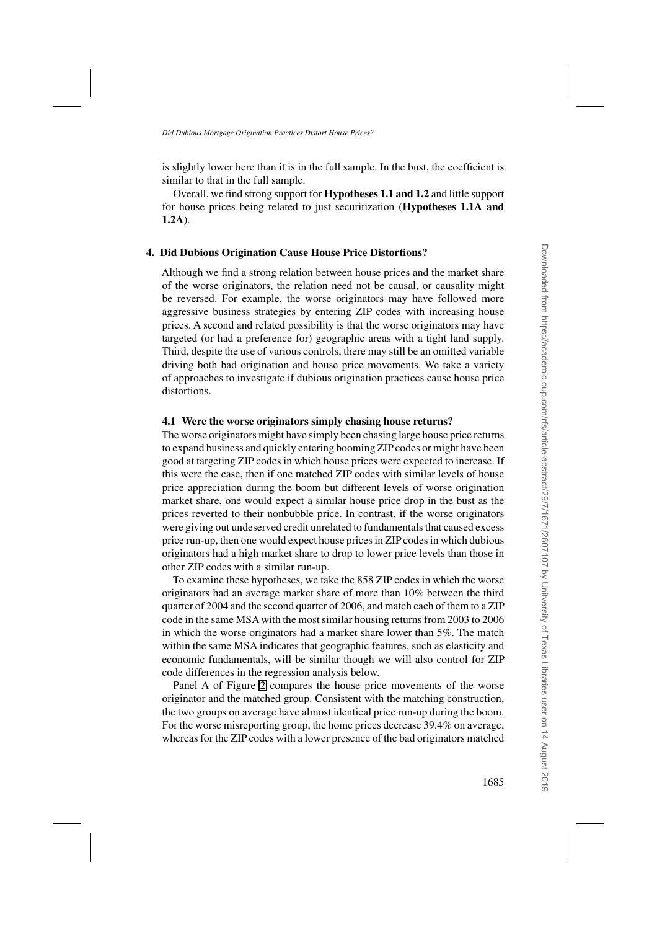is slightly lower here than it is in the full sample. In the bust, the coefficient is similar to that in the full sample.

Overall, we find strong support for **Hypotheses 1.1 and 1.2** and little support for house prices being related to just securitization (**Hypotheses 1.1A and 1.2A**).

# **4. Did Dubious Origination Cause House Price Distortions?**

Although we find a strong relation between house prices and the market share of the worse originators, the relation need not be causal, or causality might be reversed. For example, the worse originators may have followed more aggressive business strategies by entering ZIP codes with increasing house prices. A second and related possibility is that the worse originators may have targeted (or had a preference for) geographic areas with a tight land supply. Third, despite the use of various controls, there may still be an omitted variable driving both bad origination and house price movements. We take a variety of approaches to investigate if dubious origination practices cause house price distortions.

# **4.1 Were the worse originators simply chasing house returns?**

The worse originators might have simply been chasing large house price returns to expand business and quickly entering booming ZIP codes or might have been good at targeting ZIP codes in which house prices were expected to increase. If this were the case, then if one matched ZIP codes with similar levels of house price appreciation during the boom but different levels of worse origination market share, one would expect a similar house price drop in the bust as the prices reverted to their nonbubble price. In contrast, if the worse originators were giving out undeserved credit unrelated to fundamentals that caused excess price run-up, then one would expect house prices in ZIP codes in which dubious originators had a high market share to drop to lower price levels than those in other ZIP codes with a similar run-up.

To examine these hypotheses, we take the 858 ZIP codes in which the worse originators had an average market share of more than 10% between the third quarter of 2004 and the second quarter of 2006, and match each of them to a ZIP code in the same MSA with the most similar housing returns from 2003 to 2006 in which the worse originators had a market share lower than 5%. The match within the same MSA indicates that geographic features, such as elasticity and economic fundamentals, will be similar though we will also control for ZIP code differences in the regression analysis below.

Panel A of Figure [2](#page-15-0) compares the house price movements of the worse originator and the matched group. Consistent with the matching construction, the two groups on average have almost identical price run-up during the boom. For the worse misreporting group, the home prices decrease 39.4% on average, whereas for the ZIP codes with a lower presence of the bad originators matched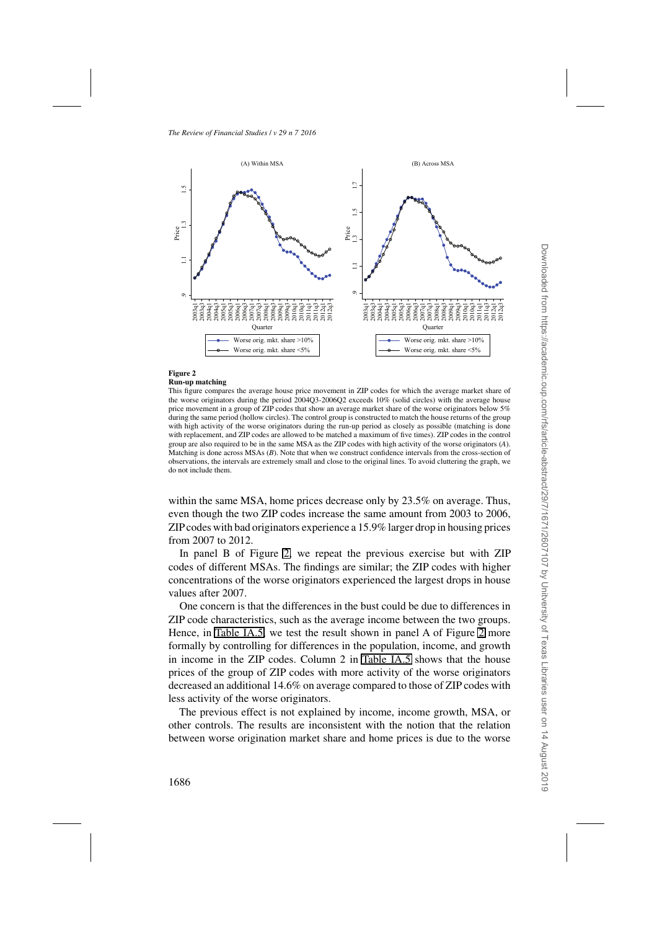<span id="page-15-0"></span>

# **Figure 2**

#### **Run-up matching**

This figure compares the average house price movement in ZIP codes for which the average market share of the worse originators during the period 2004Q3-2006Q2 exceeds 10% (solid circles) with the average house price movement in a group of ZIP codes that show an average market share of the worse originators below 5% during the same period (hollow circles). The control group is constructed to match the house returns of the group with high activity of the worse originators during the run-up period as closely as possible (matching is done with replacement, and ZIP codes are allowed to be matched a maximum of five times). ZIP codes in the control group are also required to be in the same MSA as the ZIP codes with high activity of the worse originators (*A*). Matching is done across MSAs (*B*). Note that when we construct confidence intervals from the cross-section of observations, the intervals are extremely small and close to the original lines. To avoid cluttering the graph, we do not include them.

within the same MSA, home prices decrease only by 23.5% on average. Thus, even though the two ZIP codes increase the same amount from 2003 to 2006, ZIP codes with bad originators experience a 15.9% larger drop in housing prices from 2007 to 2012.

In panel B of Figure 2, we repeat the previous exercise but with ZIP codes of different MSAs. The findings are similar; the ZIP codes with higher concentrations of the worse originators experienced the largest drops in house values after 2007.

One concern is that the differences in the bust could be due to differences in ZIP code characteristics, such as the average income between the two groups. Hence, in [Table IA.5,](http://rfs.oxfordjournals.org/lookup/suppl/doi:10.1093/rfs/hhw013/-/DC1) we test the result shown in panel A of Figure 2 more formally by controlling for differences in the population, income, and growth in income in the ZIP codes. Column 2 in [Table IA.5](http://rfs.oxfordjournals.org/lookup/suppl/doi:10.1093/rfs/hhw013/-/DC1) shows that the house prices of the group of ZIP codes with more activity of the worse originators decreased an additional 14.6% on average compared to those of ZIP codes with less activity of the worse originators.

The previous effect is not explained by income, income growth, MSA, or other controls. The results are inconsistent with the notion that the relation between worse origination market share and home prices is due to the worse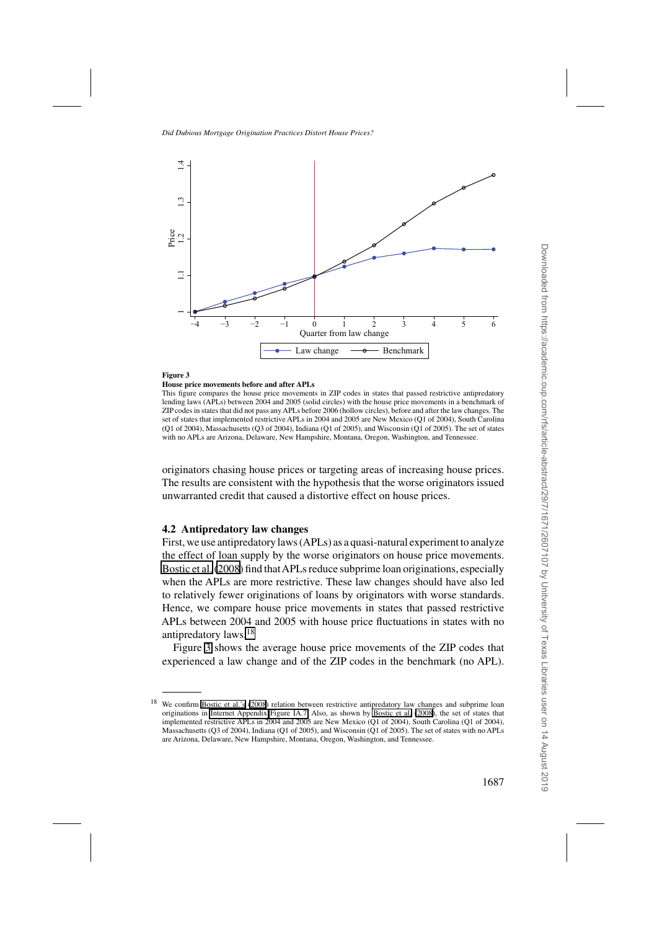

#### **Figure 3**

#### **House price movements before and after APLs**

This figure compares the house price movements in ZIP codes in states that passed restrictive antipredatory lending laws (APLs) between 2004 and 2005 (solid circles) with the house price movements in a benchmark of ZIP codes in states that did not pass any APLs before 2006 (hollow circles), before and after the law changes. The set of states that implemented restrictive APLs in 2004 and 2005 are New Mexico (Q1 of 2004), South Carolina (Q1 of 2004), Massachusetts (Q3 of 2004), Indiana (Q1 of 2005), and Wisconsin (Q1 of 2005). The set of states with no APLs are Arizona, Delaware, New Hampshire, Montana, Oregon, Washington, and Tennessee.

originators chasing house prices or targeting areas of increasing house prices. The results are consistent with the hypothesis that the worse originators issued unwarranted credit that caused a distortive effect on house prices.

### **4.2 Antipredatory law changes**

First, we use antipredatory laws (APLs) as a quasi-natural experiment to analyze the effect of loan supply by the worse originators on house price movements. [Bostic et al.](#page-36-0) [\(2008](#page-36-0)) find thatAPLs reduce subprime loan originations, especially when the APLs are more restrictive. These law changes should have also led to relatively fewer originations of loans by originators with worse standards. Hence, we compare house price movements in states that passed restrictive APLs between 2004 and 2005 with house price fluctuations in states with no antipredatory laws.<sup>18</sup>

Figure 3 shows the average house price movements of the ZIP codes that experienced a law change and of the ZIP codes in the benchmark (no APL).

<sup>18</sup> We confirm [Bostic et al.'s](#page-36-0) [\(2008\)](#page-36-0) relation between restrictive antipredatory law changes and subprime loan originations in [Internet Appendix Figure IA.7.](http://rfs.oxfordjournals.org/lookup/suppl/doi:10.1093/rfs/hhw013/-/DC1) Also, as shown by [Bostic et al.](#page-36-0) [\(2008\)](#page-36-0), the set of states that implemented restrictive APLs in 2004 and 2005 are New Mexico (Q1 of 2004), South Carolina (Q1 of 2004), Massachusetts (Q3 of 2004), Indiana (Q1 of 2005), and Wisconsin (Q1 of 2005). The set of states with no APLs are Arizona, Delaware, New Hampshire, Montana, Oregon, Washington, and Tennessee.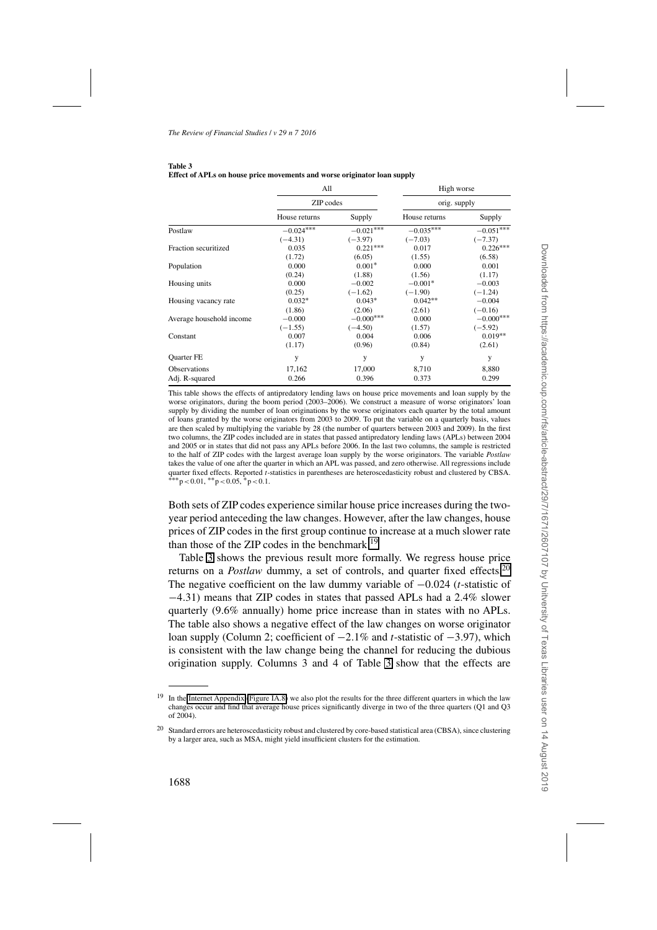| Table 3                                                                  |  |
|--------------------------------------------------------------------------|--|
| Effect of APLs on house price movements and worse originator loan supply |  |

|                          | All           |             | High worse<br>orig. supply |             |  |
|--------------------------|---------------|-------------|----------------------------|-------------|--|
|                          | ZIP codes     |             |                            |             |  |
|                          | House returns | Supply      | House returns              | Supply      |  |
| Postlaw                  | $-0.024***$   | $-0.021***$ | $-0.035***$                | $-0.051***$ |  |
|                          | $(-4.31)$     | $(-3.97)$   | $(-7.03)$                  | $(-7.37)$   |  |
| Fraction securitized     | 0.035         | $0.221***$  | 0.017                      | $0.226***$  |  |
|                          | (1.72)        | (6.05)      | (1.55)                     | (6.58)      |  |
| Population               | 0.000         | $0.001*$    | 0.000                      | 0.001       |  |
|                          | (0.24)        | (1.88)      | (1.56)                     | (1.17)      |  |
| Housing units            | 0.000         | $-0.002$    | $-0.001*$                  | $-0.003$    |  |
|                          | (0.25)        | $(-1.62)$   | $(-1.90)$                  | $(-1.24)$   |  |
| Housing vacancy rate     | $0.032*$      | $0.043*$    | $0.042**$                  | $-0.004$    |  |
|                          | (1.86)        | (2.06)      | (2.61)                     | $(-0.16)$   |  |
| Average household income | $-0.000$      | $-0.000***$ | 0.000                      | $-0.000***$ |  |
|                          | $(-1.55)$     | $(-4.50)$   | (1.57)                     | $(-5.92)$   |  |
| Constant                 | 0.007         | 0.004       | 0.006                      | $0.019**$   |  |
|                          | (1.17)        | (0.96)      | (0.84)                     | (2.61)      |  |
| <b>Quarter FE</b>        | y             | y           | y                          | y           |  |
| <b>Observations</b>      | 17,162        | 17,000      | 8,710                      | 8,880       |  |
| Adj. R-squared           | 0.266         | 0.396       | 0.373                      | 0.299       |  |

This table shows the effects of antipredatory lending laws on house price movements and loan supply by the worse originators, during the boom period (2003–2006). We construct a measure of worse originators' loan supply by dividing the number of loan originations by the worse originators each quarter by the total amount of loans granted by the worse originators from 2003 to 2009. To put the variable on a quarterly basis, values are then scaled by multiplying the variable by 28 (the number of quarters between 2003 and 2009). In the first two columns, the ZIP codes included are in states that passed antipredatory lending laws (APLs) between 2004 and 2005 or in states that did not pass any APLs before 2006. In the last two columns, the sample is restricted to the half of ZIP codes with the largest average loan supply by the worse originators. The variable *Postlaw* takes the value of one after the quarter in which an APL was passed, and zero otherwise. All regressions include quarter fixed effects. Reported *t*-statistics in parentheses are heteroscedasticity robust and clustered by CBSA.  $*^{**}p < 0.01$ ,  $*^{*}p < 0.05$ ,  $*^{*}p < 0.1$ .

Both sets of ZIP codes experience similar house price increases during the twoyear period anteceding the law changes. However, after the law changes, house prices of ZIP codes in the first group continue to increase at a much slower rate than those of the ZIP codes in the benchmark.<sup>19</sup>

Table 3 shows the previous result more formally. We regress house price returns on a *Postlaw* dummy, a set of controls, and quarter fixed effects.<sup>20</sup> The negative coefficient on the law dummy variable of −0.024 (*t*-statistic of −4.31) means that ZIP codes in states that passed APLs had a 2.4% slower quarterly (9.6% annually) home price increase than in states with no APLs. The table also shows a negative effect of the law changes on worse originator loan supply (Column 2; coefficient of −2.1% and *t*-statistic of −3.97), which is consistent with the law change being the channel for reducing the dubious origination supply. Columns 3 and 4 of Table 3 show that the effects are

 $19$  In the [Internet Appendix \(Figure IA.8\)](http://rfs.oxfordjournals.org/lookup/suppl/doi:10.1093/rfs/hhw013/-/DC1) we also plot the results for the three different quarters in which the law changes occur and find that average house prices significantly diverge in two of the three quarters (Q1 and Q3 of 2004).

<sup>20</sup> Standard errors are heteroscedasticity robust and clustered by core-based statistical area (CBSA), since clustering by a larger area, such as MSA, might yield insufficient clusters for the estimation.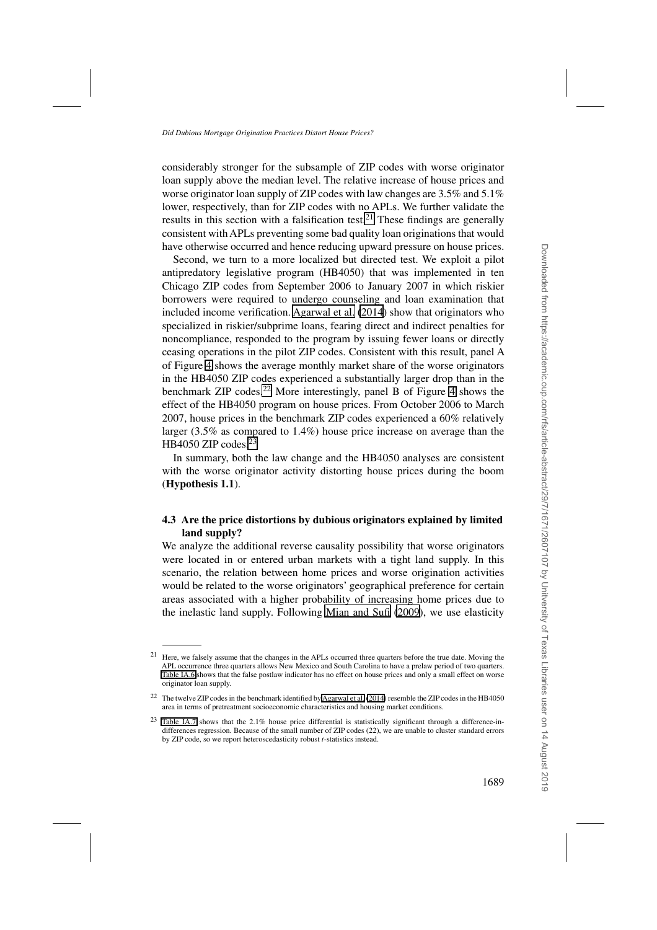considerably stronger for the subsample of ZIP codes with worse originator loan supply above the median level. The relative increase of house prices and worse originator loan supply of ZIP codes with law changes are 3.5% and 5.1% lower, respectively, than for ZIP codes with no APLs. We further validate the results in this section with a falsification test.<sup>21</sup> These findings are generally consistent with APLs preventing some bad quality loan originations that would have otherwise occurred and hence reducing upward pressure on house prices.

Second, we turn to a more localized but directed test. We exploit a pilot antipredatory legislative program (HB4050) that was implemented in ten Chicago ZIP codes from September 2006 to January 2007 in which riskier borrowers were required to undergo counseling and loan examination that included income verification. [Agarwal et al.](#page-36-0) [\(2014\)](#page-36-0) show that originators who specialized in riskier/subprime loans, fearing direct and indirect penalties for noncompliance, responded to the program by issuing fewer loans or directly ceasing operations in the pilot ZIP codes. Consistent with this result, panel A of Figure [4](#page-19-0) shows the average monthly market share of the worse originators in the HB4050 ZIP codes experienced a substantially larger drop than in the benchmark ZIP codes.<sup>22</sup> More interestingly, panel B of Figure [4](#page-19-0) shows the effect of the HB4050 program on house prices. From October 2006 to March 2007, house prices in the benchmark ZIP codes experienced a 60% relatively larger (3.5% as compared to 1.4%) house price increase on average than the HB4050 ZIP codes. $23$ 

In summary, both the law change and the HB4050 analyses are consistent with the worse originator activity distorting house prices during the boom (**Hypothesis 1.1**).

### **4.3 Are the price distortions by dubious originators explained by limited land supply?**

We analyze the additional reverse causality possibility that worse originators were located in or entered urban markets with a tight land supply. In this scenario, the relation between home prices and worse origination activities would be related to the worse originators' geographical preference for certain areas associated with a higher probability of increasing home prices due to the inelastic land supply. Following [Mian and Sufi](#page-37-0) [\(2009\)](#page-37-0), we use elasticity

<sup>&</sup>lt;sup>21</sup> Here, we falsely assume that the changes in the APLs occurred three quarters before the true date. Moving the APL occurrence three quarters allows New Mexico and South Carolina to have a prelaw period of two quarters. [Table IA.6](http://rfs.oxfordjournals.org/lookup/suppl/doi:10.1093/rfs/hhw013/-/DC1) shows that the false postlaw indicator has no effect on house prices and only a small effect on worse originator loan supply.

<sup>22</sup> The twelve ZIP codes in the benchmark identified by [Agarwal et al.](#page-36-0) [\(2014\)](#page-36-0) resemble the ZIP codes in the HB4050 area in terms of pretreatment socioeconomic characteristics and housing market conditions.

<sup>23</sup> [Table IA.7](http://rfs.oxfordjournals.org/lookup/suppl/doi:10.1093/rfs/hhw013/-/DC1) shows that the 2.1% house price differential is statistically significant through a difference-indifferences regression. Because of the small number of ZIP codes (22), we are unable to cluster standard errors by ZIP code, so we report heteroscedasticity robust *t*-statistics instead.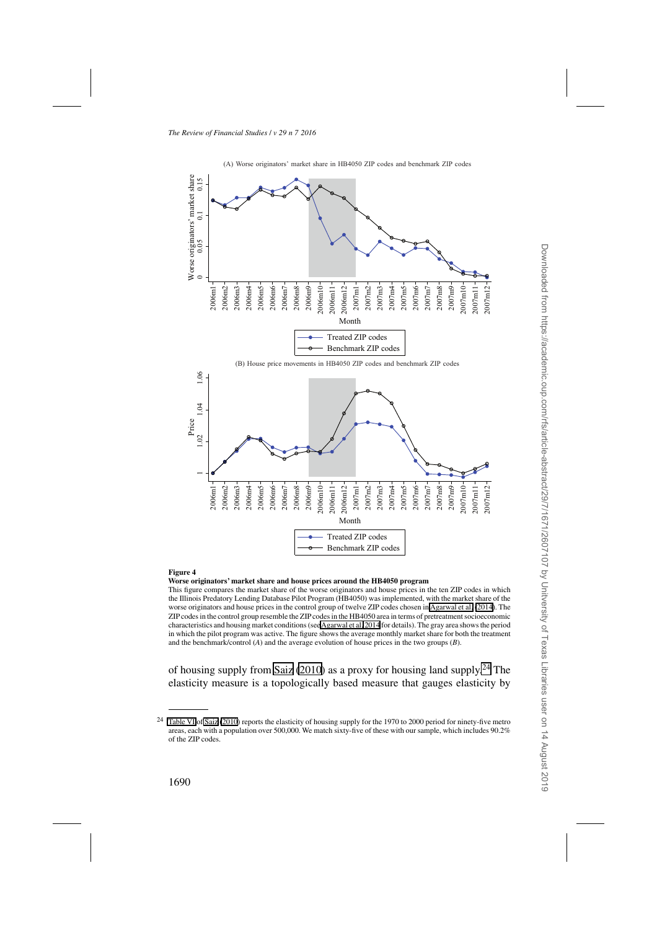<span id="page-19-0"></span>

#### **Figure 4**

#### **Worse originators' market share and house prices around the HB4050 program**

This figure compares the market share of the worse originators and house prices in the ten ZIP codes in which the Illinois Predatory Lending Database Pilot Program (HB4050) was implemented, with the market share of the worse originators and house prices in the control group of twelve ZIP codes chosen in [Agarwal et al.](#page-36-0) [\(2014\)](#page-36-0). The ZIP codes in the control group resemble the ZIP codes in the HB4050 area in terms of pretreatment socioeconomic characteristics and housing market conditions (see[Agarwal et al. 2014](#page-36-0) for details). The gray area shows the period in which the pilot program was active. The figure shows the average monthly market share for both the treatment and the benchmark/control (*A*) and the average evolution of house prices in the two groups (*B*).

of housing supply from [Saiz](#page-37-0) [\(2010](#page-37-0)) as a proxy for housing land supply.<sup>24</sup> The elasticity measure is a topologically based measure that gauges elasticity by

<sup>&</sup>lt;sup>24</sup> [Table VI](http://rfs.oxfordjournals.org/lookup/suppl/doi:10.1093/rfs/hhw013/-/DC1) of [Saiz](#page-37-0) [\(2010](#page-37-0)) reports the elasticity of housing supply for the 1970 to 2000 period for ninety-five metro areas, each with a population over 500,000. We match sixty-five of these with our sample, which includes 90.2% of the ZIP codes.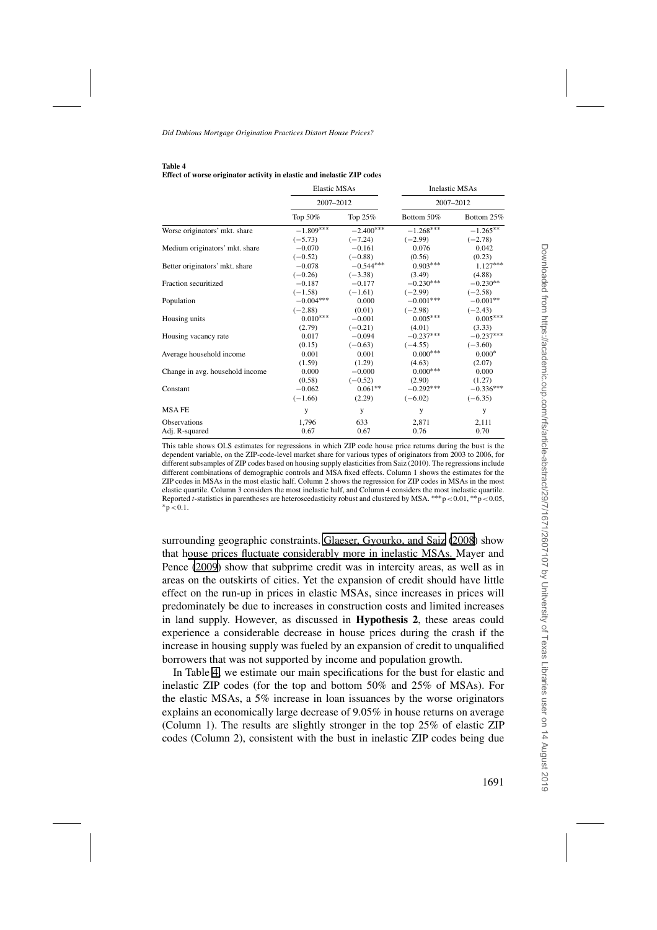|                                 | <b>Elastic MSAs</b><br>2007-2012 |             |             | <b>Inelastic MSAs</b> |  |
|---------------------------------|----------------------------------|-------------|-------------|-----------------------|--|
|                                 |                                  |             | 2007-2012   |                       |  |
|                                 | Top 50%                          | Top 25%     | Bottom 50%  | Bottom 25%            |  |
| Worse originators' mkt. share   | $-1.809***$                      | $-2.400***$ | $-1.268***$ | $-1.265***$           |  |
|                                 | $(-5.73)$                        | $(-7.24)$   | $(-2.99)$   | $(-2.78)$             |  |
| Medium originators' mkt. share  | $-0.070$                         | $-0.161$    | 0.076       | 0.042                 |  |
|                                 | $(-0.52)$                        | $(-0.88)$   | (0.56)      | (0.23)                |  |
| Better originators' mkt. share  | $-0.078$                         | $-0.544***$ | $0.903***$  | $1.127***$            |  |
|                                 | $(-0.26)$                        | $(-3.38)$   | (3.49)      | (4.88)                |  |
| Fraction securitized            | $-0.187$                         | $-0.177$    | $-0.230***$ | $-0.230**$            |  |
|                                 | $(-1.58)$                        | $(-1.61)$   | $(-2.99)$   | $(-2.58)$             |  |
| Population                      | $-0.004***$                      | 0.000       | $-0.001***$ | $-0.001**$            |  |
|                                 | $(-2.88)$                        | (0.01)      | $(-2.98)$   | $(-2.43)$             |  |
| Housing units                   | $0.010***$                       | $-0.001$    | $0.005***$  | $0.005***$            |  |
|                                 | (2.79)                           | $(-0.21)$   | (4.01)      | (3.33)                |  |
| Housing vacancy rate            | 0.017                            | $-0.094$    | $-0.237***$ | $-0.237***$           |  |
|                                 | (0.15)                           | $(-0.63)$   | $(-4.55)$   | $(-3.60)$             |  |
| Average household income        | 0.001                            | 0.001       | $0.000***$  | $0.000*$              |  |
|                                 | (1.59)                           | (1.29)      | (4.63)      | (2.07)                |  |
| Change in avg. household income | 0.000                            | $-0.000$    | $0.000***$  | 0.000                 |  |
|                                 | (0.58)                           | $(-0.52)$   | (2.90)      | (1.27)                |  |
| Constant                        | $-0.062$                         | $0.061**$   | $-0.292***$ | $-0.336***$           |  |
|                                 | $(-1.66)$                        | (2.29)      | $(-6.02)$   | $(-6.35)$             |  |
| <b>MSAFE</b>                    | y                                | у           | y           | y                     |  |
| <b>Observations</b>             | 1.796                            | 633         | 2,871       | 2,111                 |  |
| Adj. R-squared                  | 0.67                             | 0.67        | 0.76        | 0.70                  |  |

#### **Table 4 Effect of worse originator activity in elastic and inelastic ZIP codes**

This table shows OLS estimates for regressions in which ZIP code house price returns during the bust is the dependent variable, on the ZIP-code-level market share for various types of originators from 2003 to 2006, for different subsamples of ZIP codes based on housing supply elasticities from Saiz (2010). The regressions include different combinations of demographic controls and MSA fixed effects. Column 1 shows the estimates for the ZIP codes in MSAs in the most elastic half. Column 2 shows the regression for ZIP codes in MSAs in the most elastic quartile. Column 3 considers the most inelastic half, and Column 4 considers the most inelastic quartile. Reported *t*-statistics in parentheses are heteroscedasticity robust and clustered by MSA. ∗∗∗p<0.01, ∗∗p<0.05,  $*_{p<0.1}$ .

surrounding geographic constraints. [Glaeser, Gyourko, and Saiz](#page-36-0) [\(2008](#page-36-0)) show that h[ouse prices fluctuate considerably more in inelastic MSAs.](#page-37-0) Mayer and Pence [\(2009\)](#page-37-0) show that subprime credit was in intercity areas, as well as in areas on the outskirts of cities. Yet the expansion of credit should have little effect on the run-up in prices in elastic MSAs, since increases in prices will predominately be due to increases in construction costs and limited increases in land supply. However, as discussed in **Hypothesis 2**, these areas could experience a considerable decrease in house prices during the crash if the increase in housing supply was fueled by an expansion of credit to unqualified borrowers that was not supported by income and population growth.

In Table 4, we estimate our main specifications for the bust for elastic and inelastic ZIP codes (for the top and bottom 50% and 25% of MSAs). For the elastic MSAs, a 5% increase in loan issuances by the worse originators explains an economically large decrease of 9.05% in house returns on average (Column 1). The results are slightly stronger in the top 25% of elastic ZIP codes (Column 2), consistent with the bust in inelastic ZIP codes being due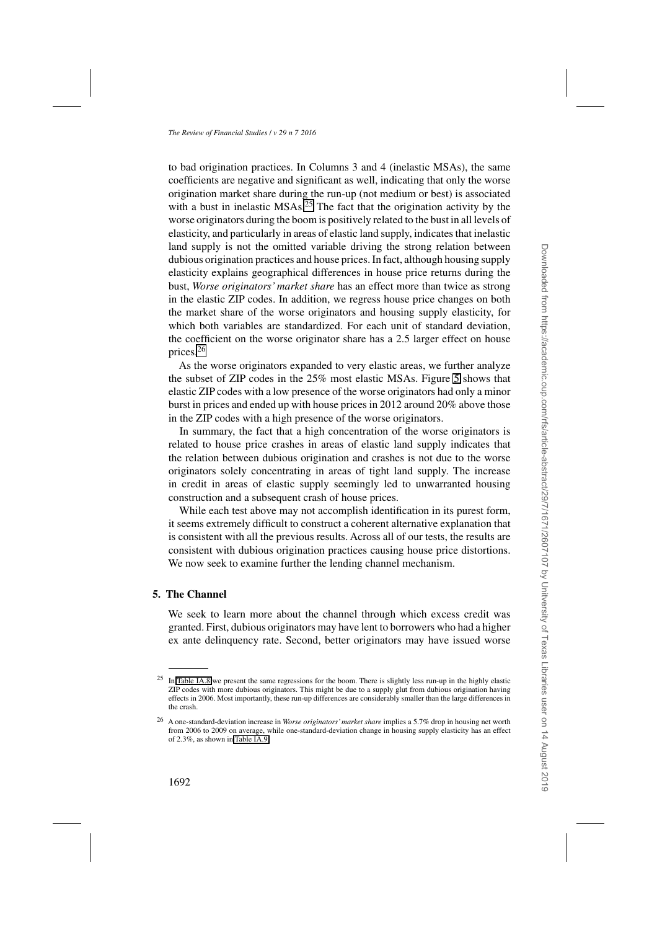to bad origination practices. In Columns 3 and 4 (inelastic MSAs), the same coefficients are negative and significant as well, indicating that only the worse origination market share during the run-up (not medium or best) is associated with a bust in inelastic  $MSAs<sup>25</sup>$ . The fact that the origination activity by the worse originators during the boom is positively related to the bust in all levels of elasticity, and particularly in areas of elastic land supply, indicates that inelastic land supply is not the omitted variable driving the strong relation between dubious origination practices and house prices. In fact, although housing supply elasticity explains geographical differences in house price returns during the bust, *Worse originators' market share* has an effect more than twice as strong in the elastic ZIP codes. In addition, we regress house price changes on both the market share of the worse originators and housing supply elasticity, for which both variables are standardized. For each unit of standard deviation, the coefficient on the worse originator share has a 2.5 larger effect on house prices.<sup>26</sup>

As the worse originators expanded to very elastic areas, we further analyze the subset of ZIP codes in the 25% most elastic MSAs. Figure [5](#page-22-0) shows that elastic ZIP codes with a low presence of the worse originators had only a minor burst in prices and ended up with house prices in 2012 around 20% above those in the ZIP codes with a high presence of the worse originators.

In summary, the fact that a high concentration of the worse originators is related to house price crashes in areas of elastic land supply indicates that the relation between dubious origination and crashes is not due to the worse originators solely concentrating in areas of tight land supply. The increase in credit in areas of elastic supply seemingly led to unwarranted housing construction and a subsequent crash of house prices.

While each test above may not accomplish identification in its purest form, it seems extremely difficult to construct a coherent alternative explanation that is consistent with all the previous results. Across all of our tests, the results are consistent with dubious origination practices causing house price distortions. We now seek to examine further the lending channel mechanism.

### **5. The Channel**

We seek to learn more about the channel through which excess credit was granted. First, dubious originators may have lent to borrowers who had a higher ex ante delinquency rate. Second, better originators may have issued worse

<sup>&</sup>lt;sup>25</sup> In [Table IA.8](http://rfs.oxfordjournals.org/lookup/suppl/doi:10.1093/rfs/hhw013/-/DC1) we present the same regressions for the boom. There is slightly less run-up in the highly elastic ZIP codes with more dubious originators. This might be due to a supply glut from dubious origination having effects in 2006. Most importantly, these run-up differences are considerably smaller than the large differences in the crash.

<sup>26</sup> A one-standard-deviation increase in *Worse originators' market share* implies a 5.7% drop in housing net worth from 2006 to 2009 on average, while one-standard-deviation change in housing supply elasticity has an effect of 2.3%, as shown in [Table IA.9.](http://rfs.oxfordjournals.org/lookup/suppl/doi:10.1093/rfs/hhw013/-/DC1)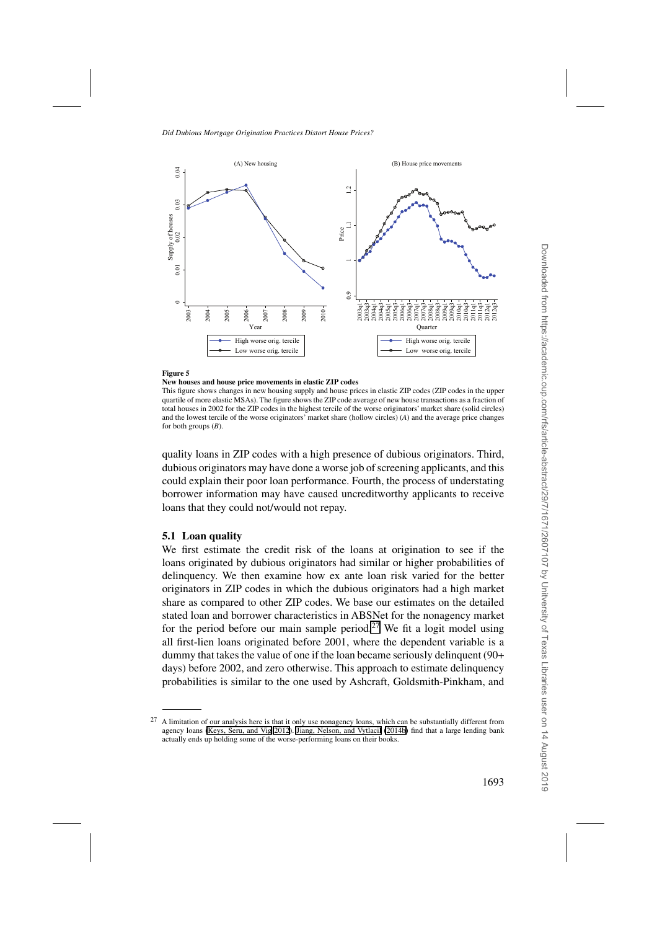<span id="page-22-0"></span>

**Figure 5**

#### **New houses and house price movements in elastic ZIP codes**

This figure shows changes in new housing supply and house prices in elastic ZIP codes (ZIP codes in the upper quartile of more elastic MSAs). The figure shows the ZIP code average of new house transactions as a fraction of total houses in 2002 for the ZIP codes in the highest tercile of the worse originators' market share (solid circles) and the lowest tercile of the worse originators' market share (hollow circles) (*A*) and the average price changes for both groups (*B*).

quality loans in ZIP codes with a high presence of dubious originators. Third, dubious originators may have done a worse job of screening applicants, and this could explain their poor loan performance. Fourth, the process of understating borrower information may have caused uncreditworthy applicants to receive loans that they could not/would not repay.

### **5.1 Loan quality**

We first estimate the credit risk of the loans at origination to see if the loans originated by dubious originators had similar or higher probabilities of delinquency. We then examine how ex ante loan risk varied for the better originators in ZIP codes in which the dubious originators had a high market share as compared to other ZIP codes. We base our estimates on the detailed stated loan and borrower characteristics in ABSNet for the nonagency market for the period before our main sample period.<sup>27</sup> We fit a logit model using all first-lien loans originated before 2001, where the dependent variable is a dummy that takes the value of one if the loan became seriously delinquent (90+ days) before 2002, and zero otherwise. This approach to estimate delinquency probabilities is similar to the one used by Ashcraft, Goldsmith-Pinkham, and

<sup>&</sup>lt;sup>27</sup> A limitation of our analysis here is that it only use nonagency loans, which can be substantially different from agency loans [\(Keys, Seru, and Vig 2012](#page-36-0)). [Jiang, Nelson, and Vytlacil](#page-36-0) [\(2014b](#page-36-0)) find that a large lending bank actually ends up holding some of the worse-performing loans on their books.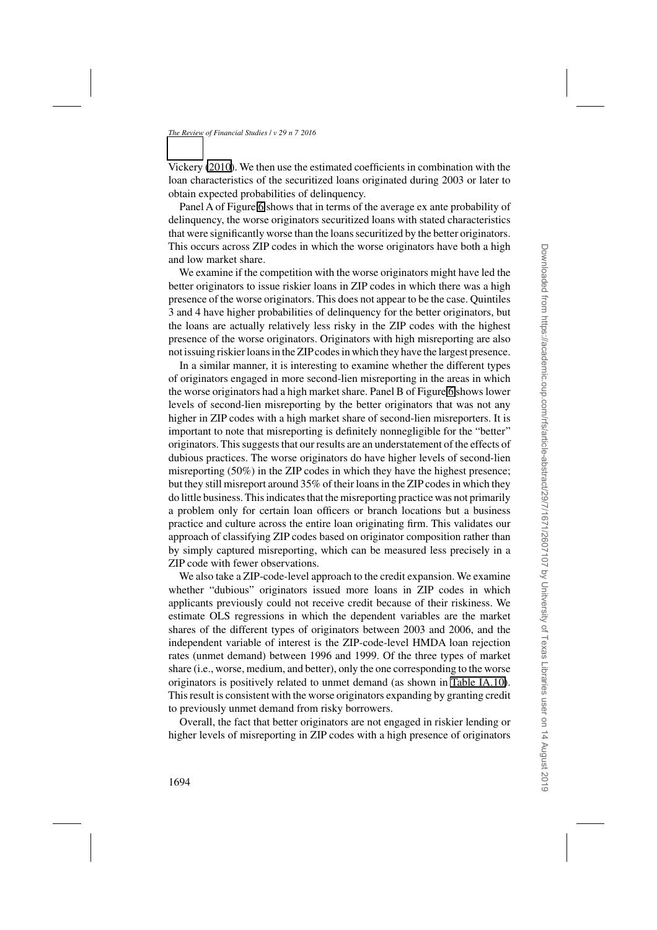Vickery [\(2010\)](#page-36-0). We then use the estimated coefficients in combination with the loan characteristics of the securitized loans originated during 2003 or later to obtain expected probabilities of delinquency.

Panel A of Figure [6](#page-24-0) shows that in terms of the average ex ante probability of delinquency, the worse originators securitized loans with stated characteristics that were significantly worse than the loans securitized by the better originators. This occurs across ZIP codes in which the worse originators have both a high and low market share.

We examine if the competition with the worse originators might have led the better originators to issue riskier loans in ZIP codes in which there was a high presence of the worse originators. This does not appear to be the case. Quintiles 3 and 4 have higher probabilities of delinquency for the better originators, but the loans are actually relatively less risky in the ZIP codes with the highest presence of the worse originators. Originators with high misreporting are also not issuing riskier loans in the ZIPcodes in which they have the largest presence.

In a similar manner, it is interesting to examine whether the different types of originators engaged in more second-lien misreporting in the areas in which the worse originators had a high market share. Panel B of Figure [6](#page-24-0) shows lower levels of second-lien misreporting by the better originators that was not any higher in ZIP codes with a high market share of second-lien misreporters. It is important to note that misreporting is definitely nonnegligible for the "better" originators. This suggests that our results are an understatement of the effects of dubious practices. The worse originators do have higher levels of second-lien misreporting (50%) in the ZIP codes in which they have the highest presence; but they still misreport around 35% of their loans in the ZIP codes in which they do little business. This indicates that the misreporting practice was not primarily a problem only for certain loan officers or branch locations but a business practice and culture across the entire loan originating firm. This validates our approach of classifying ZIP codes based on originator composition rather than by simply captured misreporting, which can be measured less precisely in a ZIP code with fewer observations.

We also take a ZIP-code-level approach to the credit expansion. We examine whether "dubious" originators issued more loans in ZIP codes in which applicants previously could not receive credit because of their riskiness. We estimate OLS regressions in which the dependent variables are the market shares of the different types of originators between 2003 and 2006, and the independent variable of interest is the ZIP-code-level HMDA loan rejection rates (unmet demand) between 1996 and 1999. Of the three types of market share (i.e., worse, medium, and better), only the one corresponding to the worse originators is positively related to unmet demand (as shown in [Table IA.10\)](http://rfs.oxfordjournals.org/lookup/suppl/doi:10.1093/rfs/hhw013/-/DC1). This result is consistent with the worse originators expanding by granting credit to previously unmet demand from risky borrowers.

Overall, the fact that better originators are not engaged in riskier lending or higher levels of misreporting in ZIP codes with a high presence of originators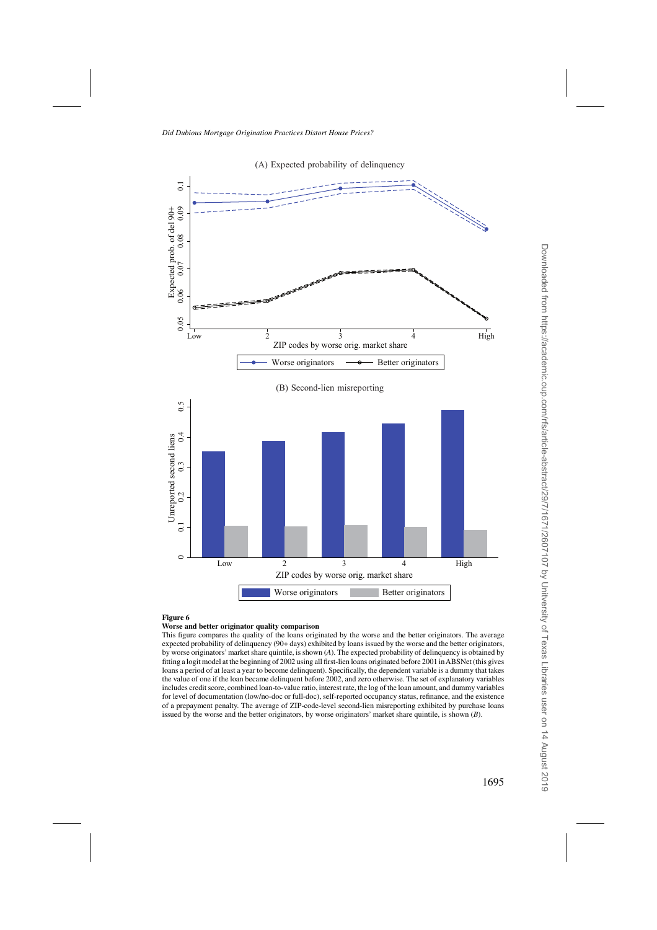(A) Expected probability of delinquency

<span id="page-24-0"></span>

#### **Figure 6**

#### **Worse and better originator quality comparison**

This figure compares the quality of the loans originated by the worse and the better originators. The average expected probability of delinquency (90+ days) exhibited by loans issued by the worse and the better originators, by worse originators'market share quintile, is shown (*A*). The expected probability of delinquency is obtained by fitting a logit model at the beginning of 2002 using all first-lien loans originated before 2001 in ABSNet (this gives loans a period of at least a year to become delinquent). Specifically, the dependent variable is a dummy that takes the value of one if the loan became delinquent before 2002, and zero otherwise. The set of explanatory variables includes credit score, combined loan-to-value ratio, interest rate, the log of the loan amount, and dummy variables for level of documentation (low/no-doc or full-doc), self-reported occupancy status, refinance, and the existence of a prepayment penalty. The average of ZIP-code-level second-lien misreporting exhibited by purchase loans issued by the worse and the better originators, by worse originators' market share quintile, is shown (*B*).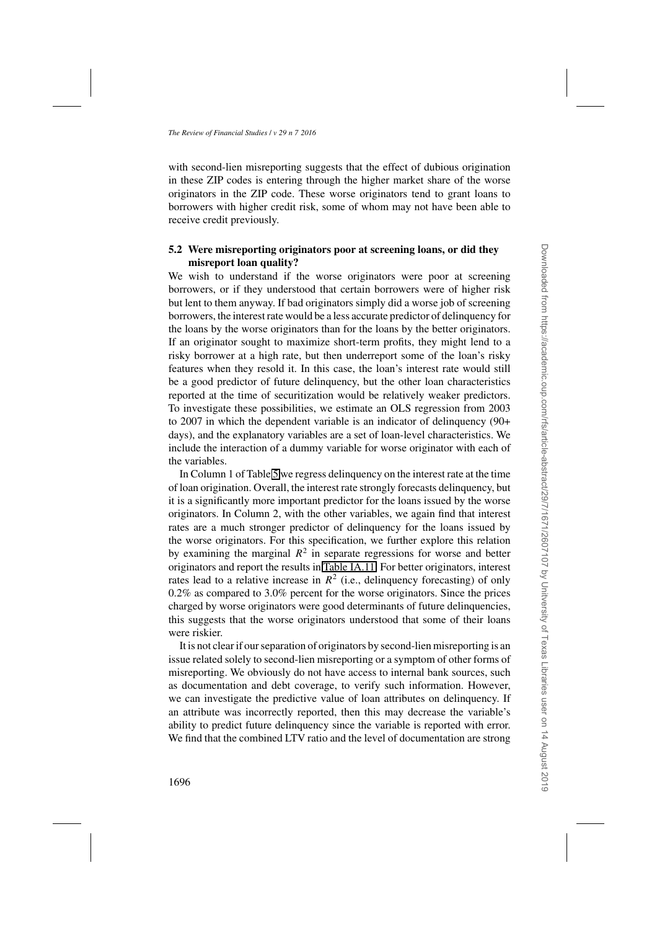with second-lien misreporting suggests that the effect of dubious origination in these ZIP codes is entering through the higher market share of the worse originators in the ZIP code. These worse originators tend to grant loans to borrowers with higher credit risk, some of whom may not have been able to receive credit previously.

### **5.2 Were misreporting originators poor at screening loans, or did they misreport loan quality?**

We wish to understand if the worse originators were poor at screening borrowers, or if they understood that certain borrowers were of higher risk but lent to them anyway. If bad originators simply did a worse job of screening borrowers, the interest rate would be a less accurate predictor of delinquency for the loans by the worse originators than for the loans by the better originators. If an originator sought to maximize short-term profits, they might lend to a risky borrower at a high rate, but then underreport some of the loan's risky features when they resold it. In this case, the loan's interest rate would still be a good predictor of future delinquency, but the other loan characteristics reported at the time of securitization would be relatively weaker predictors. To investigate these possibilities, we estimate an OLS regression from 2003 to 2007 in which the dependent variable is an indicator of delinquency (90+ days), and the explanatory variables are a set of loan-level characteristics. We include the interaction of a dummy variable for worse originator with each of the variables.

In Column 1 of Table [5](#page-26-0) we regress delinquency on the interest rate at the time of loan origination. Overall, the interest rate strongly forecasts delinquency, but it is a significantly more important predictor for the loans issued by the worse originators. In Column 2, with the other variables, we again find that interest rates are a much stronger predictor of delinquency for the loans issued by the worse originators. For this specification, we further explore this relation by examining the marginal  $R^2$  in separate regressions for worse and better originators and report the results in [Table IA.11.](http://rfs.oxfordjournals.org/lookup/suppl/doi:10.1093/rfs/hhw013/-/DC1) For better originators, interest rates lead to a relative increase in  $R^2$  (i.e., delinquency forecasting) of only 0.2% as compared to 3.0% percent for the worse originators. Since the prices charged by worse originators were good determinants of future delinquencies, this suggests that the worse originators understood that some of their loans were riskier.

It is not clear if our separation of originators by second-lien misreporting is an issue related solely to second-lien misreporting or a symptom of other forms of misreporting. We obviously do not have access to internal bank sources, such as documentation and debt coverage, to verify such information. However, we can investigate the predictive value of loan attributes on delinquency. If an attribute was incorrectly reported, then this may decrease the variable's ability to predict future delinquency since the variable is reported with error. We find that the combined LTV ratio and the level of documentation are strong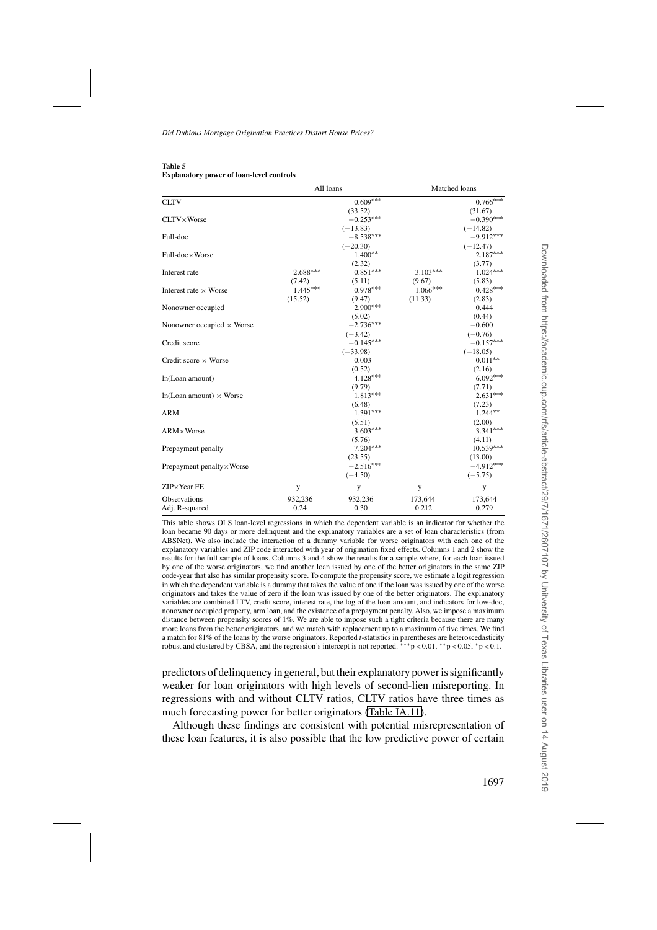<span id="page-26-0"></span>

| Table 5 |                                                 |
|---------|-------------------------------------------------|
|         | <b>Explanatory power of loan-level controls</b> |

|                                  | All loans  |             | Matched loans |             |  |
|----------------------------------|------------|-------------|---------------|-------------|--|
| <b>CLTV</b>                      |            | $0.609***$  |               | $0.766***$  |  |
|                                  |            | (33.52)     |               | (31.67)     |  |
| $CLTV \times W$ or se            |            | $-0.253***$ |               | $-0.390***$ |  |
|                                  |            | $(-13.83)$  |               | $(-14.82)$  |  |
| Full-doc                         |            | $-8.538***$ |               | $-9.912***$ |  |
|                                  |            | $(-20.30)$  |               | $(-12.47)$  |  |
| Full-doc×Worse                   |            | $1.400**$   |               | $2.187***$  |  |
|                                  |            | (2.32)      |               | (3.77)      |  |
| Interest rate                    | $2.688***$ | $0.851***$  | $3.103***$    | $1.024***$  |  |
|                                  | (7.42)     | (5.11)      | (9.67)        | (5.83)      |  |
| Interest rate $\times$ Worse     | $1.445***$ | $0.978***$  | $1.066***$    | $0.428***$  |  |
|                                  | (15.52)    | (9.47)      | (11.33)       | (2.83)      |  |
| Nonowner occupied                |            | $2.900***$  |               | 0.444       |  |
|                                  |            | (5.02)      |               | (0.44)      |  |
| Nonowner occupied $\times$ Worse |            | $-2.736***$ |               | $-0.600$    |  |
|                                  |            | $(-3.42)$   |               | $(-0.76)$   |  |
| Credit score                     |            | $-0.145***$ |               | $-0.157***$ |  |
|                                  |            | $(-33.98)$  |               | $(-18.05)$  |  |
| Credit score $\times$ Worse      |            | 0.003       |               | $0.011**$   |  |
|                                  |            | (0.52)      |               | (2.16)      |  |
| ln(Loan amount)                  |            | $4.128***$  |               | $6.092***$  |  |
|                                  |            | (9.79)      |               | (7.71)      |  |
| $ln(Loan amount) \times Worse$   |            | $1.813***$  |               | $2.631***$  |  |
|                                  |            | (6.48)      |               | (7.23)      |  |
| <b>ARM</b>                       |            | $1.391***$  |               | $1.244**$   |  |
|                                  |            | (5.51)      |               | (2.00)      |  |
| $ARM \times W$ orse              |            | $3.603***$  |               | $3.341***$  |  |
|                                  |            | (5.76)      |               | (4.11)      |  |
| Prepayment penalty               |            | 7.204***    |               | $10.539***$ |  |
|                                  |            | (23.55)     |               | (13.00)     |  |
| Prepayment penalty×Worse         |            | $-2.516***$ |               | $-4.912***$ |  |
|                                  |            | $(-4.50)$   |               | $(-5.75)$   |  |
| ZIP×Year FE                      | y          | y           | y             | y           |  |
| Observations                     | 932,236    | 932,236     | 173,644       | 173,644     |  |
| Adj. R-squared                   | 0.24       | 0.30        | 0.212         | 0.279       |  |

This table shows OLS loan-level regressions in which the dependent variable is an indicator for whether the loan became 90 days or more delinquent and the explanatory variables are a set of loan characteristics (from ABSNet). We also include the interaction of a dummy variable for worse originators with each one of the explanatory variables and ZIP code interacted with year of origination fixed effects. Columns 1 and 2 show the results for the full sample of loans. Columns 3 and 4 show the results for a sample where, for each loan issued by one of the worse originators, we find another loan issued by one of the better originators in the same ZIP code-year that also has similar propensity score. To compute the propensity score, we estimate a logit regression in which the dependent variable is a dummy that takes the value of one if the loan was issued by one of the worse originators and takes the value of zero if the loan was issued by one of the better originators. The explanatory variables are combined LTV, credit score, interest rate, the log of the loan amount, and indicators for low-doc, nonowner occupied property, arm loan, and the existence of a prepayment penalty. Also, we impose a maximum distance between propensity scores of 1%. We are able to impose such a tight criteria because there are many more loans from the better originators, and we match with replacement up to a maximum of five times. We find a match for 81% of the loans by the worse originators. Reported *t*-statistics in parentheses are heteroscedasticity robust and clustered by CBSA, and the regression's intercept is not reported. \*\*\*  $p < 0.01$ , \*\* $p < 0.05$ , \* $p < 0.1$ .

predictors of delinquency in general, but their explanatory power is significantly weaker for loan originators with high levels of second-lien misreporting. In regressions with and without CLTV ratios, CLTV ratios have three times as much forecasting power for better originators [\(Table IA.11\)](http://rfs.oxfordjournals.org/lookup/suppl/doi:10.1093/rfs/hhw013/-/DC1).

Although these findings are consistent with potential misrepresentation of these loan features, it is also possible that the low predictive power of certain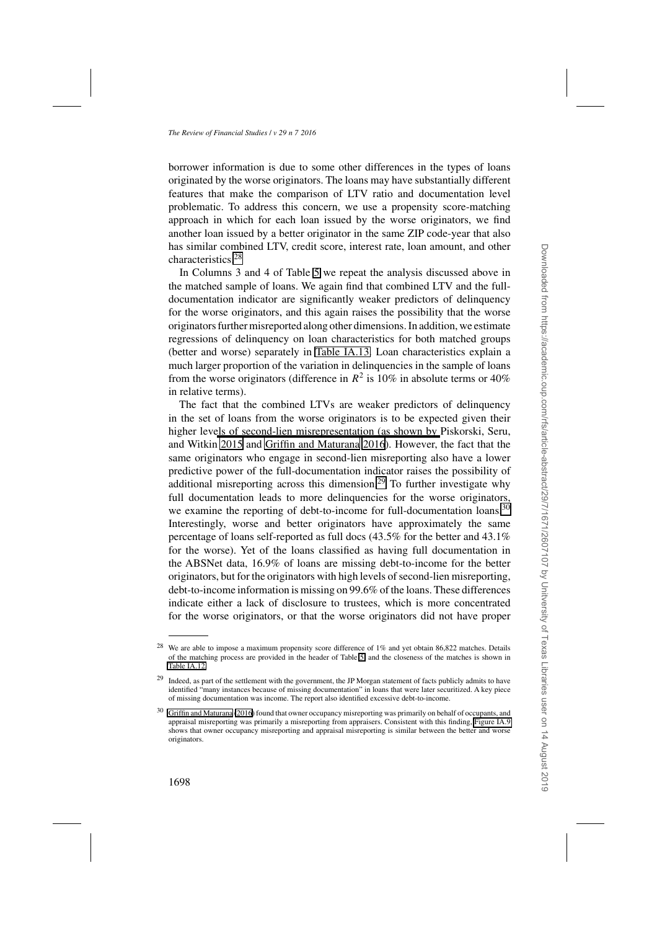borrower information is due to some other differences in the types of loans originated by the worse originators. The loans may have substantially different features that make the comparison of LTV ratio and documentation level problematic. To address this concern, we use a propensity score-matching approach in which for each loan issued by the worse originators, we find another loan issued by a better originator in the same ZIP code-year that also has similar combined LTV, credit score, interest rate, loan amount, and other characteristics.<sup>28</sup>

In Columns 3 and 4 of Table [5](#page-26-0) we repeat the analysis discussed above in the matched sample of loans. We again find that combined LTV and the fulldocumentation indicator are significantly weaker predictors of delinquency for the worse originators, and this again raises the possibility that the worse originators further misreported along other dimensions. In addition, we estimate regressions of delinquency on loan characteristics for both matched groups (better and worse) separately in [Table IA.13.](http://rfs.oxfordjournals.org/lookup/suppl/doi:10.1093/rfs/hhw013/-/DC1) Loan characteristics explain a much larger proportion of the variation in delinquencies in the sample of loans from the worse originators (difference in  $R^2$  is 10% in absolute terms or 40% in relative terms).

The fact that the combined LTVs are weaker predictors of delinquency in the set of loans from the worse originators is to be expected given their higher lev[els](#page-37-0) [of](#page-37-0) [second-lien](#page-37-0) [misrepresentation](#page-37-0) [\(as](#page-37-0) [shown](#page-37-0) [by](#page-37-0) Piskorski, Seru, and Witkin [2015](#page-37-0) and [Griffin and Maturana 2016\)](#page-36-0). However, the fact that the same originators who engage in second-lien misreporting also have a lower predictive power of the full-documentation indicator raises the possibility of additional misreporting across this dimension.<sup>29</sup> To further investigate why full documentation leads to more delinquencies for the worse originators, we examine the reporting of debt-to-income for full-documentation loans.<sup>30</sup> Interestingly, worse and better originators have approximately the same percentage of loans self-reported as full docs (43.5% for the better and 43.1% for the worse). Yet of the loans classified as having full documentation in the ABSNet data, 16.9% of loans are missing debt-to-income for the better originators, but for the originators with high levels of second-lien misreporting, debt-to-income information is missing on 99.6% of the loans. These differences indicate either a lack of disclosure to trustees, which is more concentrated for the worse originators, or that the worse originators did not have proper

<sup>&</sup>lt;sup>28</sup> We are able to impose a maximum propensity score difference of 1% and yet obtain 86,822 matches. Details of the matching process are provided in the header of Table [5,](#page-26-0) and the closeness of the matches is shown in [Table IA.12.](http://rfs.oxfordjournals.org/lookup/suppl/doi:10.1093/rfs/hhw013/-/DC1)

<sup>&</sup>lt;sup>29</sup> Indeed, as part of the settlement with the government, the JP Morgan statement of facts publicly admits to have identified "many instances because of missing documentation" in loans that were later securitized. A key piece of missing documentation was income. The report also identified excessive debt-to-income.

<sup>&</sup>lt;sup>30</sup> [Griffin and Maturana](#page-36-0) [\(2016](#page-36-0)) found that owner occupancy misreporting was primarily on behalf of occupants, and appraisal misreporting was primarily a misreporting from appraisers. Consistent with this finding, [Figure IA.9](http://rfs.oxfordjournals.org/lookup/suppl/doi:10.1093/rfs/hhw013/-/DC1) shows that owner occupancy misreporting and appraisal misreporting is similar between the better and worse originators.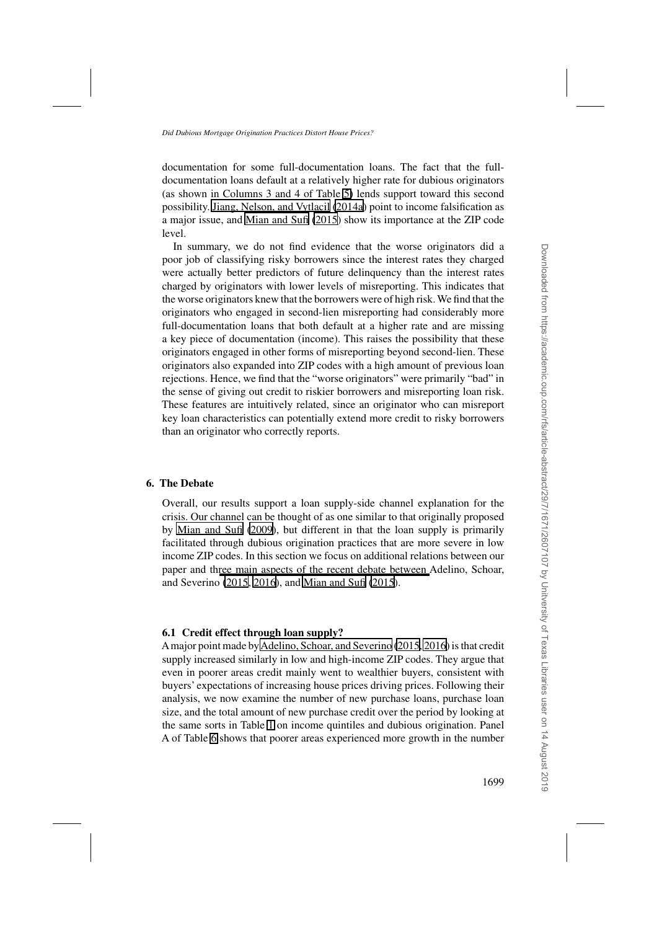documentation for some full-documentation loans. The fact that the fulldocumentation loans default at a relatively higher rate for dubious originators (as shown in Columns 3 and 4 of Table [5\)](#page-26-0) lends support toward this second possibility. [Jiang, Nelson, and Vytlacil](#page-36-0) [\(2014a\)](#page-36-0) point to income falsification as a major issue, and [Mian and Sufi](#page-37-0) [\(2015](#page-37-0)) show its importance at the ZIP code level.

In summary, we do not find evidence that the worse originators did a poor job of classifying risky borrowers since the interest rates they charged were actually better predictors of future delinquency than the interest rates charged by originators with lower levels of misreporting. This indicates that the worse originators knew that the borrowers were of high risk. We find that the originators who engaged in second-lien misreporting had considerably more full-documentation loans that both default at a higher rate and are missing a key piece of documentation (income). This raises the possibility that these originators engaged in other forms of misreporting beyond second-lien. These originators also expanded into ZIP codes with a high amount of previous loan rejections. Hence, we find that the "worse originators" were primarily "bad" in the sense of giving out credit to riskier borrowers and misreporting loan risk. These features are intuitively related, since an originator who can misreport key loan characteristics can potentially extend more credit to risky borrowers than an originator who correctly reports.

### **6. The Debate**

Overall, our results support a loan supply-side channel explanation for the crisis. Our channel can be thought of as one similar to that originally proposed by [Mian and Sufi](#page-37-0) [\(2009\)](#page-37-0), but different in that the loan supply is primarily facilitated through dubious origination practices that are more severe in low income ZIP codes. In this section we focus on additional relations between our paper and th[ree main aspects of the recent debate between](#page-35-0) Adelino, Schoar, and Severino [\(2015,](#page-35-0) [2016\)](#page-36-0), and [Mian and Sufi](#page-37-0) [\(2015\)](#page-37-0).

### **6.1 Credit effect through loan supply?**

Amajor point made by[Adelino, Schoar, and Severino](#page-35-0) [\(2015,](#page-35-0) [2016\)](#page-36-0) is that credit supply increased similarly in low and high-income ZIP codes. They argue that even in poorer areas credit mainly went to wealthier buyers, consistent with buyers' expectations of increasing house prices driving prices. Following their analysis, we now examine the number of new purchase loans, purchase loan size, and the total amount of new purchase credit over the period by looking at the same sorts in Table [1](#page-11-0) on income quintiles and dubious origination. Panel A of Table [6](#page-29-0) shows that poorer areas experienced more growth in the number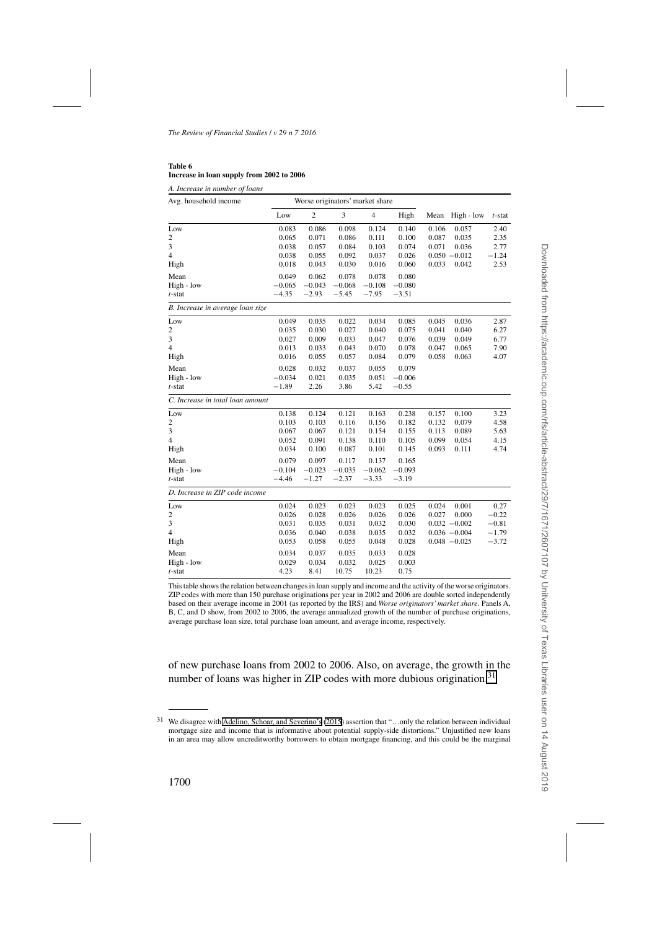#### <span id="page-29-0"></span>**Table 6 Increase in loan supply from 2002 to 2006**

| A. Increase in number of loans   |          |                                 |          |                |          |       |                 |           |
|----------------------------------|----------|---------------------------------|----------|----------------|----------|-------|-----------------|-----------|
| Avg. household income            |          | Worse originators' market share |          |                |          |       |                 |           |
|                                  | Low      | $\sqrt{2}$                      | 3        | $\overline{4}$ | High     | Mean  | High - low      | $t$ -stat |
| Low                              | 0.083    | 0.086                           | 0.098    | 0.124          | 0.140    | 0.106 | 0.057           | 2.40      |
| $\overline{\mathbf{c}}$          | 0.065    | 0.071                           | 0.086    | 0.111          | 0.100    | 0.087 | 0.035           | 2.35      |
| 3                                | 0.038    | 0.057                           | 0.084    | 0.103          | 0.074    | 0.071 | 0.036           | 2.77      |
| $\overline{4}$                   | 0.038    | 0.055                           | 0.092    | 0.037          | 0.026    |       | $0.050 - 0.012$ | $-1.24$   |
| High                             | 0.018    | 0.043                           | 0.030    | 0.016          | 0.060    | 0.033 | 0.042           | 2.53      |
| Mean                             | 0.049    | 0.062                           | 0.078    | 0.078          | 0.080    |       |                 |           |
| High - low                       | $-0.065$ | $-0.043$                        | $-0.068$ | $-0.108$       | $-0.080$ |       |                 |           |
| $t$ -stat                        | $-4.35$  | $-2.93$                         | $-5.45$  | $-7.95$        | $-3.51$  |       |                 |           |
| B. Increase in average loan size |          |                                 |          |                |          |       |                 |           |
| Low                              | 0.049    | 0.035                           | 0.022    | 0.034          | 0.085    | 0.045 | 0.036           | 2.87      |
| $\overline{\mathbf{c}}$          | 0.035    | 0.030                           | 0.027    | 0.040          | 0.075    | 0.041 | 0.040           | 6.27      |
| 3                                | 0.027    | 0.009                           | 0.033    | 0.047          | 0.076    | 0.039 | 0.049           | 6.77      |
| $\overline{4}$                   | 0.013    | 0.033                           | 0.043    | 0.070          | 0.078    | 0.047 | 0.065           | 7.90      |
| High                             | 0.016    | 0.055                           | 0.057    | 0.084          | 0.079    | 0.058 | 0.063           | 4.07      |
| Mean                             | 0.028    | 0.032                           | 0.037    | 0.055          | 0.079    |       |                 |           |
| High - low                       | $-0.034$ | 0.021                           | 0.035    | 0.051          | $-0.006$ |       |                 |           |
| $t$ -stat                        | $-1.89$  | 2.26                            | 3.86     | 5.42           | $-0.55$  |       |                 |           |
| C. Increase in total loan amount |          |                                 |          |                |          |       |                 |           |
| Low                              | 0.138    | 0.124                           | 0.121    | 0.163          | 0.238    | 0.157 | 0.100           | 3.23      |
| $\sqrt{2}$                       | 0.103    | 0.103                           | 0.116    | 0.156          | 0.182    | 0.132 | 0.079           | 4.58      |
| 3                                | 0.067    | 0.067                           | 0.121    | 0.154          | 0.155    | 0.113 | 0.089           | 5.63      |
| $\overline{4}$                   | 0.052    | 0.091                           | 0.138    | 0.110          | 0.105    | 0.099 | 0.054           | 4.15      |
| High                             | 0.034    | 0.100                           | 0.087    | 0.101          | 0.145    | 0.093 | 0.111           | 4.74      |
| Mean                             | 0.079    | 0.097                           | 0.117    | 0.137          | 0.165    |       |                 |           |
| High - low                       | $-0.104$ | $-0.023$                        | $-0.035$ | $-0.062$       | $-0.093$ |       |                 |           |
| $t$ -stat                        | $-4.46$  | $-1.27$                         | $-2.37$  | $-3.33$        | $-3.19$  |       |                 |           |
| D. Increase in ZIP code income   |          |                                 |          |                |          |       |                 |           |
| Low                              | 0.024    | 0.023                           | 0.023    | 0.023          | 0.025    | 0.024 | 0.001           | 0.27      |
| $\overline{c}$                   | 0.026    | 0.028                           | 0.026    | 0.026          | 0.026    | 0.027 | 0.000           | $-0.22$   |
| 3                                | 0.031    | 0.035                           | 0.031    | 0.032          | 0.030    |       | $0.032 - 0.002$ | $-0.81$   |
| 4                                | 0.036    | 0.040                           | 0.038    | 0.035          | 0.032    |       | $0.036 - 0.004$ | $-1.79$   |
| High                             | 0.053    | 0.058                           | 0.055    | 0.048          | 0.028    |       | $0.048 - 0.025$ | $-3.72$   |
| Mean                             | 0.034    | 0.037                           | 0.035    | 0.033          | 0.028    |       |                 |           |
| High - low                       | 0.029    | 0.034                           | 0.032    | 0.025          | 0.003    |       |                 |           |
| $t$ -stat                        | 4.23     | 8.41                            | 10.75    | 10.23          | 0.75     |       |                 |           |

This table shows the relation between changes in loan supply and income and the activity of the worse originators. ZIP codes with more than 150 purchase originations per year in 2002 and 2006 are double sorted independently based on their average income in 2001 (as reported by the IRS) and *Worse originators' market share*. Panels A, B, C, and D show, from 2002 to 2006, the average annualized growth of the number of purchase originations, average purchase loan size, total purchase loan amount, and average income, respectively.

of new purchase loans from 2002 to 2006. Also, on average, the growth in the number of loans was higher in ZIP codes with more dubious origination.<sup>31</sup>

<sup>31</sup> We disagree with [Adelino, Schoar, and Severino's](#page-35-0) [\(2015](#page-35-0)) assertion that "…only the relation between individual mortgage size and income that is informative about potential supply-side distortions." Unjustified new loans in an area may allow uncreditworthy borrowers to obtain mortgage financing, and this could be the marginal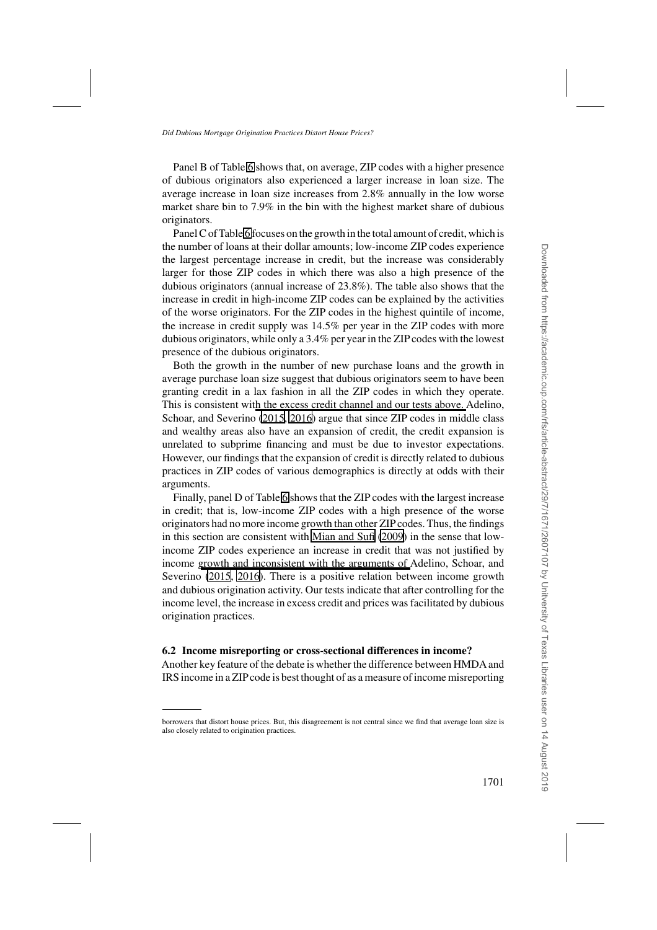Panel B of Table [6](#page-29-0) shows that, on average, ZIP codes with a higher presence of dubious originators also experienced a larger increase in loan size. The average increase in loan size increases from 2.8% annually in the low worse market share bin to 7.9% in the bin with the highest market share of dubious originators.

Panel C of Table [6](#page-29-0) focuses on the growth in the total amount of credit, which is the number of loans at their dollar amounts; low-income ZIP codes experience the largest percentage increase in credit, but the increase was considerably larger for those ZIP codes in which there was also a high presence of the dubious originators (annual increase of 23.8%). The table also shows that the increase in credit in high-income ZIP codes can be explained by the activities of the worse originators. For the ZIP codes in the highest quintile of income, the increase in credit supply was 14.5% per year in the ZIP codes with more dubious originators, while only a 3.4% per year in the ZIP codes with the lowest presence of the dubious originators.

Both the growth in the number of new purchase loans and the growth in average purchase loan size suggest that dubious originators seem to have been granting credit in a lax fashion in all the ZIP codes in which they operate. This is consistent wi[th the excess credit channel and our tests above.](#page-35-0) Adelino, Schoar, and Severino [\(2015](#page-35-0), [2016](#page-36-0)) argue that since ZIP codes in middle class and wealthy areas also have an expansion of credit, the credit expansion is unrelated to subprime financing and must be due to investor expectations. However, our findings that the expansion of credit is directly related to dubious practices in ZIP codes of various demographics is directly at odds with their arguments.

Finally, panel D of Table [6](#page-29-0) shows that the ZIP codes with the largest increase in credit; that is, low-income ZIP codes with a high presence of the worse originators had no more income growth than other ZIP codes. Thus, the findings in this section are consistent with [Mian and Sufi](#page-37-0) [\(2009](#page-37-0)) in the sense that lowincome ZIP codes experience an increase in credit that was not justified by income [growth and inconsistent with the arguments of](#page-35-0) Adelino, Schoar, and Severino [\(2015,](#page-35-0) [2016\)](#page-36-0). There is a positive relation between income growth and dubious origination activity. Our tests indicate that after controlling for the income level, the increase in excess credit and prices was facilitated by dubious origination practices.

## **6.2 Income misreporting or cross-sectional differences in income?**

Another key feature of the debate is whether the difference between HMDAand IRS income in a ZIPcode is best thought of as a measure of income misreporting

borrowers that distort house prices. But, this disagreement is not central since we find that average loan size is also closely related to origination practices.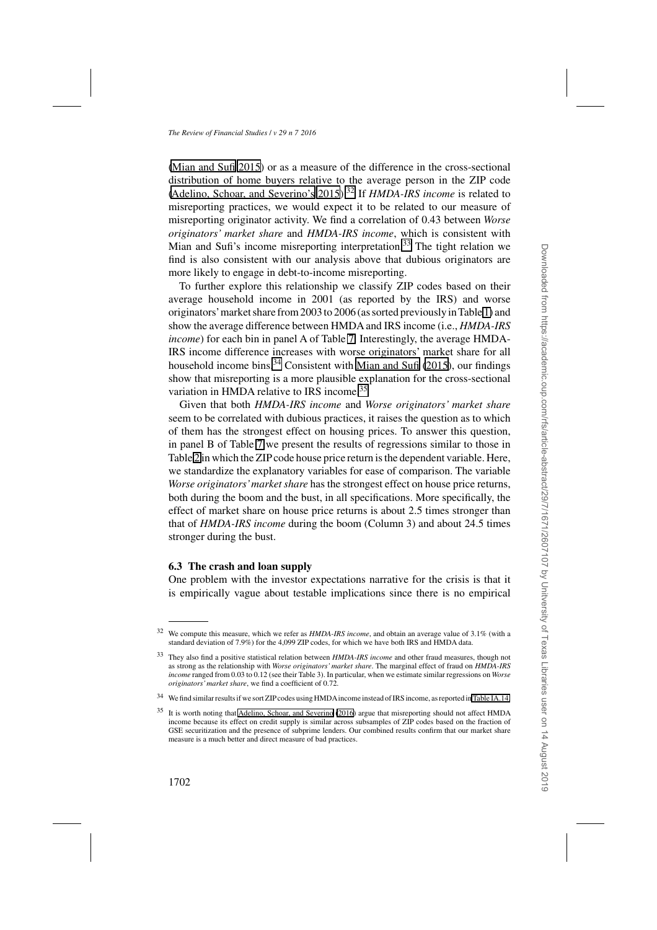[\(Mian and Sufi 2015\)](#page-37-0) or as a measure of the difference in the cross-sectional distribution of home buyers relative to the average person in the ZIP code [\(Adelino, Schoar, and Severino's 2015\)](#page-35-0).<sup>32</sup> If *HMDA-IRS income* is related to misreporting practices, we would expect it to be related to our measure of misreporting originator activity. We find a correlation of 0.43 between *Worse originators' market share* and *HMDA-IRS income*, which is consistent with Mian and Sufi's income misreporting interpretation.<sup>33</sup> The tight relation we find is also consistent with our analysis above that dubious originators are more likely to engage in debt-to-income misreporting.

To further explore this relationship we classify ZIP codes based on their average household income in 2001 (as reported by the IRS) and worse originators'market share from 2003 to 2006 (as sorted previously inTable [1\)](#page-11-0) and show the average difference between HMDA and IRS income (i.e., *HMDA-IRS income*) for each bin in panel A of Table [7.](#page-32-0) Interestingly, the average HMDA-IRS income difference increases with worse originators' market share for all household income bins.<sup>34</sup> Consistent with [Mian and Sufi](#page-37-0) [\(2015\)](#page-37-0), our findings show that misreporting is a more plausible explanation for the cross-sectional variation in HMDA relative to IRS income.<sup>35</sup>

Given that both *HMDA-IRS income* and *Worse originators' market share* seem to be correlated with dubious practices, it raises the question as to which of them has the strongest effect on housing prices. To answer this question, in panel B of Table [7](#page-32-0) we present the results of regressions similar to those in Table [2](#page-13-0) in which the ZIP code house price return is the dependent variable. Here, we standardize the explanatory variables for ease of comparison. The variable *Worse originators'market share* has the strongest effect on house price returns, both during the boom and the bust, in all specifications. More specifically, the effect of market share on house price returns is about 2.5 times stronger than that of *HMDA-IRS income* during the boom (Column 3) and about 24.5 times stronger during the bust.

### **6.3 The crash and loan supply**

One problem with the investor expectations narrative for the crisis is that it is empirically vague about testable implications since there is no empirical

<sup>32</sup> We compute this measure, which we refer as *HMDA-IRS income*, and obtain an average value of 3.1% (with a standard deviation of 7.9%) for the 4,099 ZIP codes, for which we have both IRS and HMDA data.

<sup>33</sup> They also find a positive statistical relation between *HMDA-IRS income* and other fraud measures, though not as strong as the relationship with *Worse originators' market share*. The marginal effect of fraud on *HMDA-IRS income* ranged from 0.03 to 0.12 (see their Table 3). In particular, when we estimate similar regressions on *Worse originators' market share*, we find a coefficient of 0.72.

<sup>34</sup> We find similar results if we sort ZIPcodes using HMDAincome instead of IRS income, as reported i[n Table IA.14.](http://rfs.oxfordjournals.org/lookup/suppl/doi:10.1093/rfs/hhw013/-/DC1)

<sup>&</sup>lt;sup>35</sup> It is worth noting that [Adelino, Schoar, and Severino](#page-36-0) [\(2016\)](#page-36-0) argue that misreporting should not affect HMDA income because its effect on credit supply is similar across subsamples of ZIP codes based on the fraction of GSE securitization and the presence of subprime lenders. Our combined results confirm that our market share measure is a much better and direct measure of bad practices.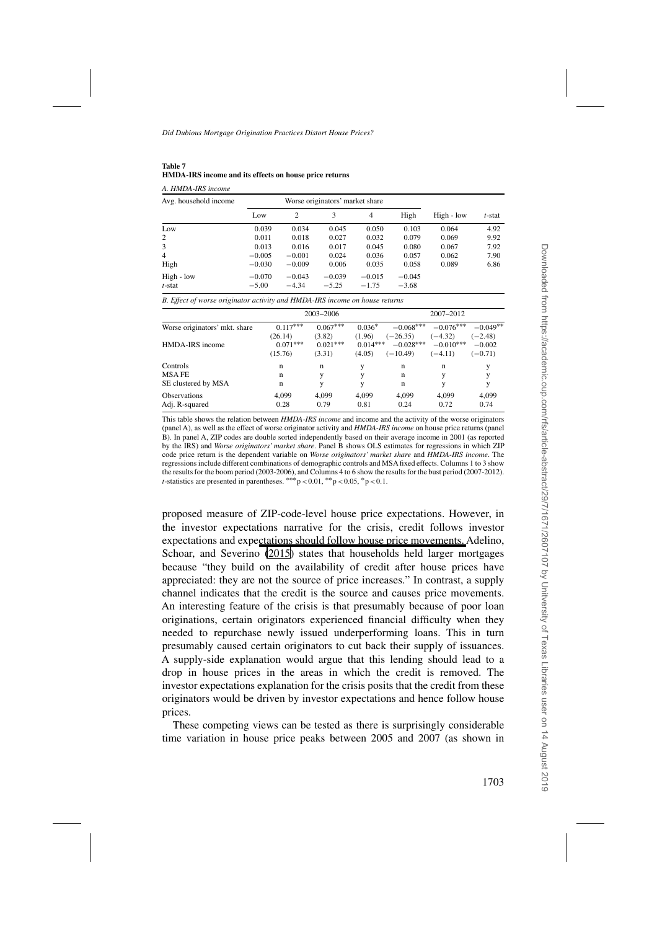<span id="page-32-0"></span>

| Table 7                                                |  |
|--------------------------------------------------------|--|
| HMDA-IRS income and its effects on house price returns |  |

| Avg. household income |          | Worse originators' market share |          |                |          |            |           |
|-----------------------|----------|---------------------------------|----------|----------------|----------|------------|-----------|
|                       | Low      | $\overline{c}$                  | 3        | $\overline{4}$ | High     | High - low | $t$ -stat |
| Low                   | 0.039    | 0.034                           | 0.045    | 0.050          | 0.103    | 0.064      | 4.92      |
| 2                     | 0.011    | 0.018                           | 0.027    | 0.032          | 0.079    | 0.069      | 9.92      |
| 3                     | 0.013    | 0.016                           | 0.017    | 0.045          | 0.080    | 0.067      | 7.92      |
| $\overline{4}$        | $-0.005$ | $-0.001$                        | 0.024    | 0.036          | 0.057    | 0.062      | 7.90      |
| High                  | $-0.030$ | $-0.009$                        | 0.006    | 0.035          | 0.058    | 0.089      | 6.86      |
| High - low            | $-0.070$ | $-0.043$                        | $-0.039$ | $-0.015$       | $-0.045$ |            |           |
| $t$ -stat             | $-5.00$  | $-4.34$                         | $-5.25$  | $-1.75$        | $-3.68$  |            |           |

*B. Effect of worse originator activity and HMDA-IRS income on house returns*

|                               | 2003-2006  |             |            | 2007-2012   |             |            |
|-------------------------------|------------|-------------|------------|-------------|-------------|------------|
| Worse originators' mkt. share | $0.117***$ | $0.067***$  | $0.036*$   | $-0.068***$ | $-0.076***$ | $-0.049**$ |
|                               | (26.14)    | (3.82)      | (1.96)     | $(-26.35)$  | $(-4.32)$   | $(-2.48)$  |
| HMDA-IRS income               | $0.071***$ | $0.021***$  | $0.014***$ | $-0.028***$ | $-0.010***$ | $-0.002$   |
|                               | (15.76)    | (3.31)      | (4.05)     | $(-10.49)$  | $(-4.11)$   | $(-0.71)$  |
| Controls                      | n          | $\mathbf n$ | v          | $\mathbf n$ | n           | v          |
| <b>MSAFE</b>                  | n          | v           | v          | $\mathbf n$ | y           |            |
| SE clustered by MSA           | n          | v           | v          | $\mathbf n$ | y           |            |
| <b>Observations</b>           | 4.099      | 4.099       | 4.099      | 4.099       | 4.099       | 4,099      |
| Adj. R-squared                | 0.28       | 0.79        | 0.81       | 0.24        | 0.72        | 0.74       |

This table shows the relation between *HMDA-IRS income* and income and the activity of the worse originators (panel A), as well as the effect of worse originator activity and *HMDA-IRS income* on house price returns (panel B). In panel A, ZIP codes are double sorted independently based on their average income in 2001 (as reported by the IRS) and *Worse originators' market share*. Panel B shows OLS estimates for regressions in which ZIP code price return is the dependent variable on *Worse originators' market share* and *HMDA-IRS income*. The regressions include different combinations of demographic controls and MSA fixed effects. Columns 1 to 3 show the results for the boom period (2003-2006), and Columns 4 to 6 show the results for the bust period (2007-2012). *t*-statistics are presented in parentheses. \*\*\*p < 0.01, \*\*p < 0.05, \*p < 0.1.

proposed measure of ZIP-code-level house price expectations. However, in the investor expectations narrative for the crisis, credit follows investor expectations and expe[ctations should follow house price movements.](#page-35-0) Adelino, Schoar, and Severino [\(2015\)](#page-35-0) states that households held larger mortgages because "they build on the availability of credit after house prices have appreciated: they are not the source of price increases." In contrast, a supply channel indicates that the credit is the source and causes price movements. An interesting feature of the crisis is that presumably because of poor loan originations, certain originators experienced financial difficulty when they needed to repurchase newly issued underperforming loans. This in turn presumably caused certain originators to cut back their supply of issuances. A supply-side explanation would argue that this lending should lead to a drop in house prices in the areas in which the credit is removed. The investor expectations explanation for the crisis posits that the credit from these originators would be driven by investor expectations and hence follow house prices.

These competing views can be tested as there is surprisingly considerable time variation in house price peaks between 2005 and 2007 (as shown in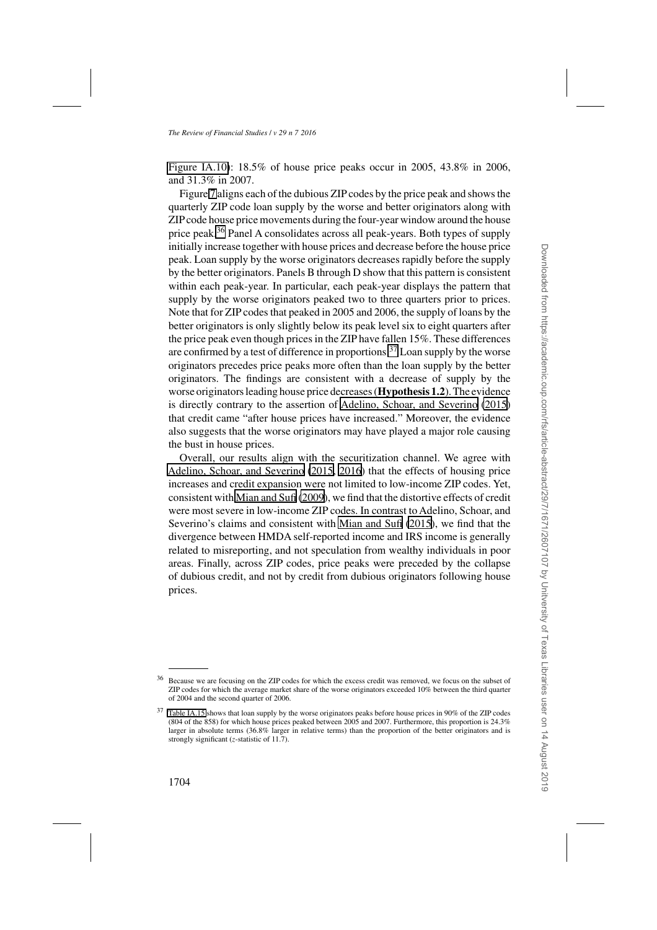[Figure IA.10\)](http://rfs.oxfordjournals.org/lookup/suppl/doi:10.1093/rfs/hhw013/-/DC1): 18.5% of house price peaks occur in 2005, 43.8% in 2006, and 31.3% in 2007.

Figure [7](#page-34-0) aligns each of the dubious ZIP codes by the price peak and shows the quarterly ZIP code loan supply by the worse and better originators along with ZIPcode house price movements during the four-year window around the house price peak.<sup>36</sup> Panel A consolidates across all peak-years. Both types of supply initially increase together with house prices and decrease before the house price peak. Loan supply by the worse originators decreases rapidly before the supply by the better originators. Panels B through D show that this pattern is consistent within each peak-year. In particular, each peak-year displays the pattern that supply by the worse originators peaked two to three quarters prior to prices. Note that for ZIP codes that peaked in 2005 and 2006, the supply of loans by the better originators is only slightly below its peak level six to eight quarters after the price peak even though prices in the ZIP have fallen 15%. These differences are confirmed by a test of difference in proportions.<sup>37</sup> Loan supply by the worse originators precedes price peaks more often than the loan supply by the better originators. The findings are consistent with a decrease of supply by the worse originators leading house price decreases (**Hypothesis 1.2**).The evidence is directly contrary to the assertion of [Adelino, Schoar, and Severino](#page-35-0) [\(2015\)](#page-35-0) that credit came "after house prices have increased." Moreover, the evidence also suggests that the worse originators may have played a major role causing the bust in house prices.

Overall, our results align with the securitization channel. We agree with [Adelino, Schoar, and Severino](#page-35-0) [\(2015,](#page-35-0) [2016](#page-36-0)) that the effects of housing price increases and credit expansion were not limited to low-income ZIP codes. Yet, consistent with [Mian and Sufi](#page-37-0) [\(2009](#page-37-0)), we find that the distortive effects of credit were most severe in low-income ZIP codes. In contrast to Adelino, Schoar, and Severino's claims and consistent with [Mian and Sufi](#page-37-0) [\(2015](#page-37-0)), we find that the divergence between HMDA self-reported income and IRS income is generally related to misreporting, and not speculation from wealthy individuals in poor areas. Finally, across ZIP codes, price peaks were preceded by the collapse of dubious credit, and not by credit from dubious originators following house prices.

<sup>&</sup>lt;sup>36</sup> Because we are focusing on the ZIP codes for which the excess credit was removed, we focus on the subset of ZIP codes for which the average market share of the worse originators exceeded 10% between the third quarter of 2004 and the second quarter of 2006.

<sup>&</sup>lt;sup>37</sup> [Table IA.15](http://rfs.oxfordjournals.org/lookup/suppl/doi:10.1093/rfs/hhw013/-/DC1) shows that loan supply by the worse originators peaks before house prices in 90% of the ZIP codes (804 of the 858) for which house prices peaked between 2005 and 2007. Furthermore, this proportion is 24.3% larger in absolute terms (36.8% larger in relative terms) than the proportion of the better originators and is strongly significant (*z*-statistic of 11.7).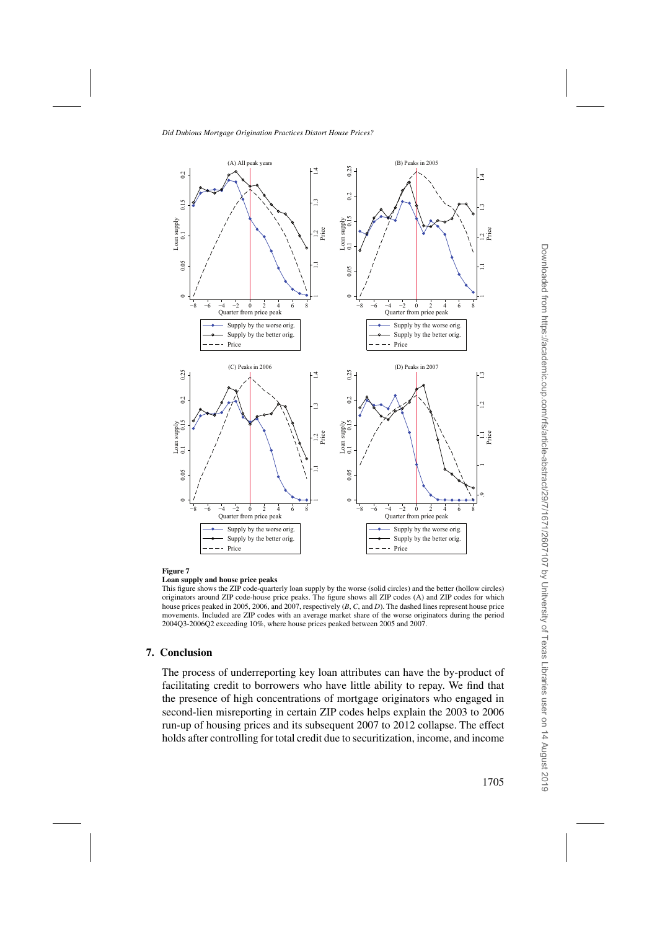<span id="page-34-0"></span>

#### **Figure 7**

#### **Loan supply and house price peaks**

This figure shows the ZIP code-quarterly loan supply by the worse (solid circles) and the better (hollow circles) originators around ZIP code-house price peaks. The figure shows all ZIP codes (A) and ZIP codes for which house prices peaked in 2005, 2006, and 2007, respectively (*B*, *C*, and *D*). The dashed lines represent house price movements. Included are ZIP codes with an average market share of the worse originators during the period 2004Q3-2006Q2 exceeding 10%, where house prices peaked between 2005 and 2007.

### **7. Conclusion**

The process of underreporting key loan attributes can have the by-product of facilitating credit to borrowers who have little ability to repay. We find that the presence of high concentrations of mortgage originators who engaged in second-lien misreporting in certain ZIP codes helps explain the 2003 to 2006 run-up of housing prices and its subsequent 2007 to 2012 collapse. The effect holds after controlling for total credit due to securitization, income, and income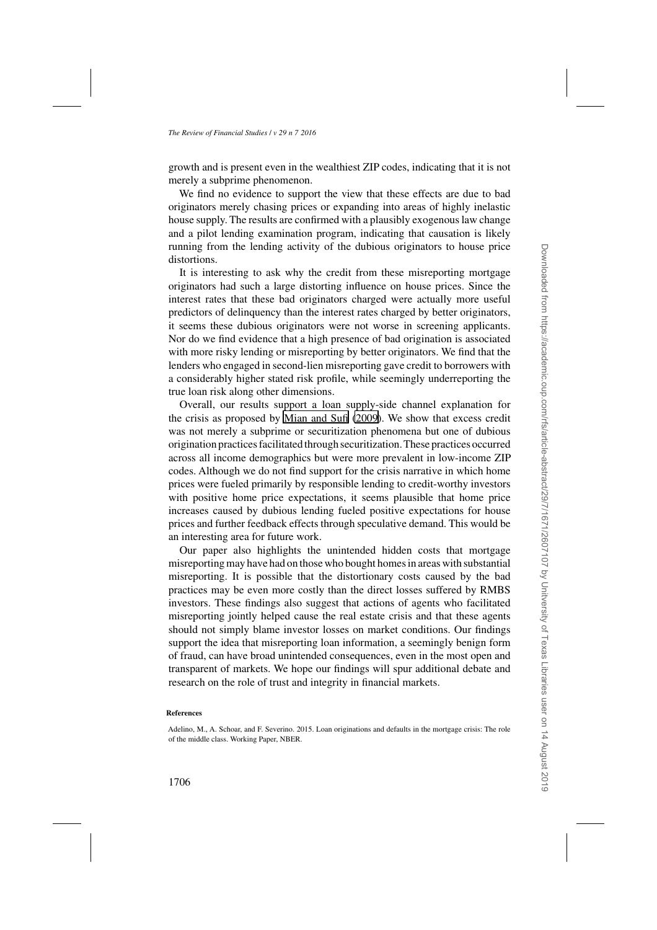<span id="page-35-0"></span>growth and is present even in the wealthiest ZIP codes, indicating that it is not merely a subprime phenomenon.

We find no evidence to support the view that these effects are due to bad originators merely chasing prices or expanding into areas of highly inelastic house supply. The results are confirmed with a plausibly exogenous law change and a pilot lending examination program, indicating that causation is likely running from the lending activity of the dubious originators to house price distortions.

It is interesting to ask why the credit from these misreporting mortgage originators had such a large distorting influence on house prices. Since the interest rates that these bad originators charged were actually more useful predictors of delinquency than the interest rates charged by better originators, it seems these dubious originators were not worse in screening applicants. Nor do we find evidence that a high presence of bad origination is associated with more risky lending or misreporting by better originators. We find that the lenders who engaged in second-lien misreporting gave credit to borrowers with a considerably higher stated risk profile, while seemingly underreporting the true loan risk along other dimensions.

Overall, our results support a loan supply-side channel explanation for the crisis as proposed by [Mian and Sufi](#page-37-0) [\(2009](#page-37-0)). We show that excess credit was not merely a subprime or securitization phenomena but one of dubious origination practices facilitated through securitization.These practices occurred across all income demographics but were more prevalent in low-income ZIP codes. Although we do not find support for the crisis narrative in which home prices were fueled primarily by responsible lending to credit-worthy investors with positive home price expectations, it seems plausible that home price increases caused by dubious lending fueled positive expectations for house prices and further feedback effects through speculative demand. This would be an interesting area for future work.

Our paper also highlights the unintended hidden costs that mortgage misreporting may have had on those who bought homes in areas with substantial misreporting. It is possible that the distortionary costs caused by the bad practices may be even more costly than the direct losses suffered by RMBS investors. These findings also suggest that actions of agents who facilitated misreporting jointly helped cause the real estate crisis and that these agents should not simply blame investor losses on market conditions. Our findings support the idea that misreporting loan information, a seemingly benign form of fraud, can have broad unintended consequences, even in the most open and transparent of markets. We hope our findings will spur additional debate and research on the role of trust and integrity in financial markets.

#### **References**

Adelino, M., A. Schoar, and F. Severino. 2015. Loan originations and defaults in the mortgage crisis: The role of the middle class. Working Paper, NBER.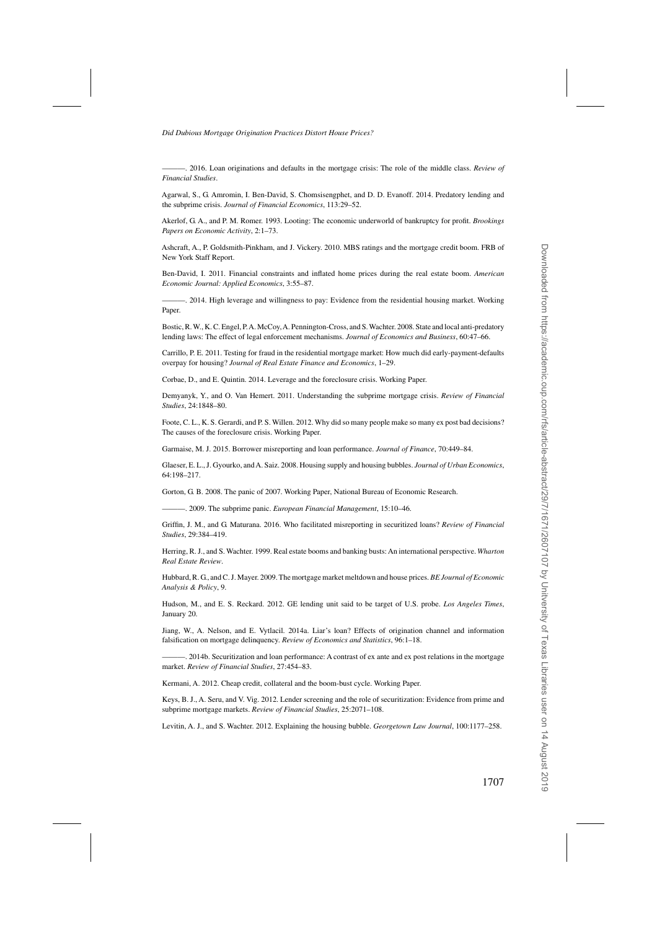<span id="page-36-0"></span>———. 2016. Loan originations and defaults in the mortgage crisis: The role of the middle class. *Review of Financial Studies*.

Agarwal, S., G. Amromin, I. Ben-David, S. Chomsisengphet, and D. D. Evanoff. 2014. Predatory lending and the subprime crisis. *Journal of Financial Economics*, 113:29–52.

Akerlof, G. A., and P. M. Romer. 1993. Looting: The economic underworld of bankruptcy for profit. *Brookings Papers on Economic Activity*, 2:1–73.

Ashcraft, A., P. Goldsmith-Pinkham, and J. Vickery. 2010. MBS ratings and the mortgage credit boom. FRB of New York Staff Report.

Ben-David, I. 2011. Financial constraints and inflated home prices during the real estate boom. *American Economic Journal: Applied Economics*, 3:55–87.

———. 2014. High leverage and willingness to pay: Evidence from the residential housing market. Working Paper.

Bostic, R. W., K. C. Engel, P.A. McCoy,A. Pennington-Cross, and S. Wachter. 2008. State and local anti-predatory lending laws: The effect of legal enforcement mechanisms. *Journal of Economics and Business*, 60:47–66.

Carrillo, P. E. 2011. Testing for fraud in the residential mortgage market: How much did early-payment-defaults overpay for housing? *Journal of Real Estate Finance and Economics*, 1–29.

Corbae, D., and E. Quintin. 2014. Leverage and the foreclosure crisis. Working Paper.

Demyanyk, Y., and O. Van Hemert. 2011. Understanding the subprime mortgage crisis. *Review of Financial Studies*, 24:1848–80.

Foote, C. L., K. S. Gerardi, and P. S. Willen. 2012. Why did so many people make so many ex post bad decisions? The causes of the foreclosure crisis. Working Paper.

Garmaise, M. J. 2015. Borrower misreporting and loan performance. *Journal of Finance*, 70:449–84.

Glaeser, E. L., J. Gyourko, andA. Saiz. 2008. Housing supply and housing bubbles. *Journal of Urban Economics*, 64:198–217.

Gorton, G. B. 2008. The panic of 2007. Working Paper, National Bureau of Economic Research.

———. 2009. The subprime panic. *European Financial Management*, 15:10–46.

Griffin, J. M., and G. Maturana. 2016. Who facilitated misreporting in securitized loans? *Review of Financial Studies*, 29:384–419.

Herring, R. J., and S. Wachter. 1999. Real estate booms and banking busts: An international perspective. *Wharton Real Estate Review*.

Hubbard, R. G., and C. J. Mayer. 2009. The mortgage market meltdown and house prices. *BE Journal of Economic Analysis & Policy*, 9.

Hudson, M., and E. S. Reckard. 2012. GE lending unit said to be target of U.S. probe. *Los Angeles Times*, January 20.

Jiang, W., A. Nelson, and E. Vytlacil. 2014a. Liar's loan? Effects of origination channel and information falsification on mortgage delinquency. *Review of Economics and Statistics*, 96:1–18.

———. 2014b. Securitization and loan performance: A contrast of ex ante and ex post relations in the mortgage market. *Review of Financial Studies*, 27:454–83.

Kermani, A. 2012. Cheap credit, collateral and the boom-bust cycle. Working Paper.

Keys, B. J., A. Seru, and V. Vig. 2012. Lender screening and the role of securitization: Evidence from prime and subprime mortgage markets. *Review of Financial Studies*, 25:2071–108.

Levitin, A. J., and S. Wachter. 2012. Explaining the housing bubble. *Georgetown Law Journal*, 100:1177–258.